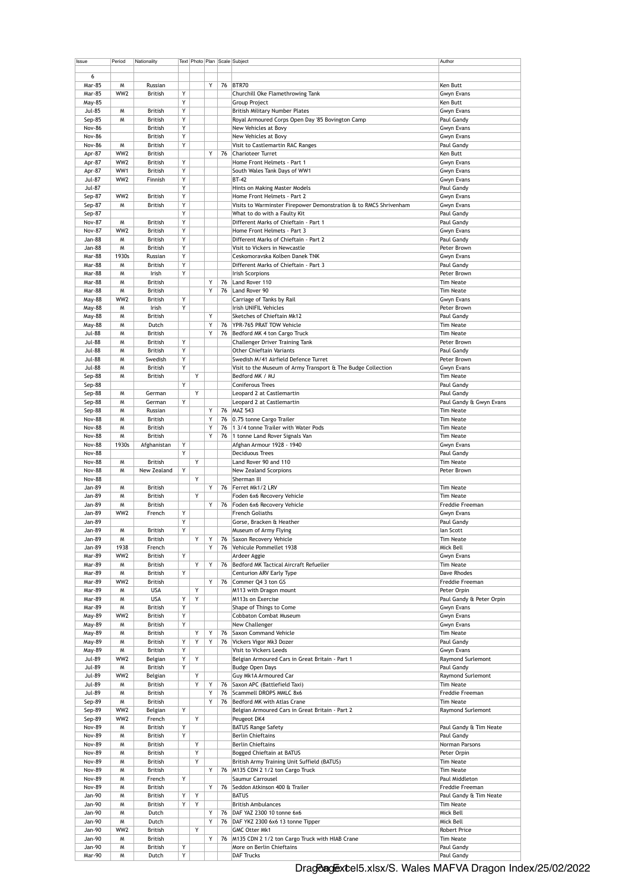| Issue         | Period          | Nationality    |   |    |   |    | Text Photo Plan Scale Subject                                     | Author                   |
|---------------|-----------------|----------------|---|----|---|----|-------------------------------------------------------------------|--------------------------|
|               |                 |                |   |    |   |    |                                                                   |                          |
| 6             |                 |                |   |    |   |    |                                                                   |                          |
| <b>Mar-85</b> | M               | Russian        |   |    | Y | 76 | <b>BTR70</b>                                                      | Ken Butt                 |
| Mar-85        | WW <sub>2</sub> | <b>British</b> | Y |    |   |    | Churchill Oke Flamethrowing Tank                                  | Gwyn Evans               |
| May-85        |                 |                | Y |    |   |    | Group Project                                                     | Ken Butt                 |
| <b>Jul-85</b> | M               | <b>British</b> | Y |    |   |    | <b>British Military Number Plates</b>                             | <b>Gwyn Evans</b>        |
| $Sep-85$      | M               | <b>British</b> | Y |    |   |    | Royal Armoured Corps Open Day '85 Bovington Camp                  | Paul Gandy               |
| <b>Nov-86</b> |                 | <b>British</b> | Y |    |   |    | New Vehicles at Bovy                                              | Gwyn Evans               |
| <b>Nov-86</b> |                 | <b>British</b> | Y |    |   |    | New Vehicles at Bovy                                              | Gwyn Evans               |
| <b>Nov-86</b> | M               | <b>British</b> | Y |    |   |    | Visit to Castlemartin RAC Ranges                                  | Paul Gandy               |
|               |                 |                |   |    |   |    |                                                                   |                          |
| Apr-87        | WW <sub>2</sub> | <b>British</b> |   |    | Y | 76 | <b>Charioteer Turret</b>                                          | Ken Butt                 |
| Apr-87        | WW <sub>2</sub> | <b>British</b> | Y |    |   |    | Home Front Helmets - Part 1                                       | <b>Gwyn Evans</b>        |
| Apr-87        | WW1             | <b>British</b> | Y |    |   |    | South Wales Tank Days of WW1                                      | Gwyn Evans               |
| <b>Jul-87</b> | WW <sub>2</sub> | Finnish        | Y |    |   |    | <b>BT-42</b>                                                      | <b>Gwyn Evans</b>        |
| <b>Jul-87</b> |                 |                | Y |    |   |    | <b>Hints on Making Master Models</b>                              | Paul Gandy               |
| Sep-87        | WW <sub>2</sub> | <b>British</b> | Y |    |   |    | Home Front Helmets - Part 2                                       | Gwyn Evans               |
| Sep-87        | M               | <b>British</b> | Y |    |   |    | Visits to Warminster Firepower Demonstration & to RMCS Shrivenham | Gwyn Evans               |
| Sep-87        |                 |                | Y |    |   |    | What to do with a Faulty Kit                                      | Paul Gandy               |
| <b>Nov-87</b> | M               | <b>British</b> | Y |    |   |    | Different Marks of Chieftain - Part 1                             | Paul Gandy               |
| <b>Nov-87</b> | WW <sub>2</sub> | <b>British</b> | Y |    |   |    | Home Front Helmets - Part 3                                       | Gwyn Evans               |
|               |                 |                | Y |    |   |    | Different Marks of Chieftain - Part 2                             |                          |
| <b>Jan-88</b> | M               | <b>British</b> |   |    |   |    |                                                                   | Paul Gandy               |
| <b>Jan-88</b> | M               | <b>British</b> | Y |    |   |    | Visit to Vickers in Newcastle                                     | Peter Brown              |
| <b>Mar-88</b> | 1930s           | <b>Russian</b> | Y |    |   |    | Ceskomoravska Kolben Danek TNK                                    | Gwyn Evans               |
| <b>Mar-88</b> | M               | <b>British</b> | Y |    |   |    | Different Marks of Chieftain - Part 3                             | Paul Gandy               |
| <b>Mar-88</b> | M               | Irish          | Y |    |   |    | <b>Irish Scorpions</b>                                            | Peter Brown              |
| <b>Mar-88</b> | M               | <b>British</b> |   |    | Y | 76 | Land Rover 110                                                    | <b>Tim Neate</b>         |
| <b>Mar-88</b> | M               | <b>British</b> |   |    | Y | 76 | Land Rover 90                                                     | <b>Tim Neate</b>         |
| <b>May-88</b> | WW <sub>2</sub> | <b>British</b> | Y |    |   |    | Carriage of Tanks by Rail                                         | <b>Gwyn Evans</b>        |
| May-88        | M               | Irish          | Y |    |   |    | <b>Irish UNIFIL Vehicles</b>                                      | Peter Brown              |
|               | M               | <b>British</b> |   |    | Y |    | Sketches of Chieftain Mk12                                        |                          |
| May-88        |                 |                |   |    |   |    |                                                                   | Paul Gandy               |
| May-88        | M               | Dutch          |   |    | Y | 76 | YPR-765 PRAT TOW Vehicle                                          | <b>Tim Neate</b>         |
| <b>Jul-88</b> | M               | <b>British</b> |   |    | Y | 76 | Bedford MK 4 ton Cargo Truck                                      | <b>Tim Neate</b>         |
| <b>Jul-88</b> | M               | <b>British</b> | Y |    |   |    | <b>Challenger Driver Training Tank</b>                            | Peter Brown              |
| <b>Jul-88</b> | M               | <b>British</b> | Y |    |   |    | <b>Other Chieftain Variants</b>                                   | Paul Gandy               |
| <b>Jul-88</b> | M               | Swedish        | Y |    |   |    | Swedish M/41 Airfield Defence Turret                              | Peter Brown              |
| <b>Jul-88</b> | M               | <b>British</b> | Y |    |   |    | Visit to the Museum of Army Transport & The Budge Collection      | Gwyn Evans               |
| $Sep-88$      | M               | <b>British</b> |   | Y  |   |    | Bedford MK / MJ                                                   | <b>Tim Neate</b>         |
|               |                 |                | Y |    |   |    | <b>Coniferous Trees</b>                                           |                          |
| Sep-88        |                 |                |   |    |   |    |                                                                   | Paul Gandy               |
| Sep-88        | M               | German         |   | Y  |   |    | Leopard 2 at Castlemartin                                         | Paul Gandy               |
| Sep-88        | M               | German         | Y |    |   |    | Leopard 2 at Castlemartin                                         | Paul Gandy & Gwyn Evans  |
| Sep-88        | M               | Russian        |   |    | Y | 76 | <b>MAZ 543</b>                                                    | <b>Tim Neate</b>         |
| <b>Nov-88</b> | M               | <b>British</b> |   |    | Y | 76 | 0.75 tonne Cargo Trailer                                          | <b>Tim Neate</b>         |
| <b>Nov-88</b> | M               | <b>British</b> |   |    | Y | 76 | 1 3/4 tonne Trailer with Water Pods                               | <b>Tim Neate</b>         |
| <b>Nov-88</b> | M               | <b>British</b> |   |    | Y | 76 | 1 tonne Land Rover Signals Van                                    | <b>Tim Neate</b>         |
| <b>Nov-88</b> | 1930s           | Afghanistan    | Y |    |   |    | Afghan Armour 1928 - 1940                                         | <b>Gwyn Evans</b>        |
|               |                 |                | Y |    |   |    |                                                                   |                          |
| <b>Nov-88</b> |                 |                |   |    |   |    | <b>Deciduous Trees</b>                                            | Paul Gandy               |
| <b>Nov-88</b> | M               | <b>British</b> |   | Y  |   |    | Land Rover 90 and 110                                             | <b>Tim Neate</b>         |
| <b>Nov-88</b> | M               | New Zealand    | Y |    |   |    | <b>New Zealand Scorpions</b>                                      | Peter Brown              |
| <b>Nov-88</b> |                 |                |   | Y  |   |    | Sherman III                                                       |                          |
| Jan-89        | M               | <b>British</b> |   |    | Y | 76 | Ferret Mk1/2 LRV                                                  | <b>Tim Neate</b>         |
| Jan-89        | M               | <b>British</b> |   | Y. |   |    | Foden 6x6 Recovery Vehicle                                        | <b>Tim Neate</b>         |
| <b>Jan-89</b> | M               | <b>British</b> |   |    | Y | 76 | Foden 6x6 Recovery Vehicle                                        | Freddie Freeman          |
| Jan-89        | WW <sub>2</sub> | French         | Y |    |   |    | <b>French Goliaths</b>                                            | Gwyn Evans               |
| Jan-89        |                 |                | Y |    |   |    | Gorse, Bracken & Heather                                          | Paul Gandy               |
| Jan-89        | M               | <b>British</b> | Y |    |   |    | Museum of Army Flying                                             | lan Scott                |
|               |                 |                |   |    |   |    |                                                                   |                          |
| Jan-89        | M               | <b>British</b> |   | Y. | Y | 76 | Saxon Recovery Vehicle                                            | <b>Tim Neate</b>         |
| Jan-89        | 1938            | French         |   |    | Y | 76 | Vehicule Pommellet 1938                                           | Mick Bell                |
| <b>Mar-89</b> | WW <sub>2</sub> | <b>British</b> | Y |    |   |    | Ardeer Aggie                                                      | Gwyn Evans               |
| Mar-89        | M               | <b>British</b> |   | Y. | Y | 76 | Bedford MK Tactical Aircraft Refueller                            | <b>Tim Neate</b>         |
| <b>Mar-89</b> | M               | <b>British</b> | Y |    |   |    | Centurion ARV Early Type                                          | Dave Rhodes              |
| Mar-89        | WW <sub>2</sub> | <b>British</b> |   |    | Y | 76 | Commer Q4 3 ton GS                                                | Freddie Freeman          |
| Mar-89        | M               | <b>USA</b>     |   | Y  |   |    | M113 with Dragon mount                                            | Peter Orpin              |
| Mar-89        | M               | <b>USA</b>     | Y | Y  |   |    | M113s on Exercise                                                 | Paul Gandy & Peter Orpin |
| <b>Mar-89</b> | M               | <b>British</b> | Y |    |   |    | Shape of Things to Come                                           | <b>Gwyn Evans</b>        |
| May-89        | WW <sub>2</sub> | <b>British</b> | Y |    |   |    | <b>Cobbaton Combat Museum</b>                                     | <b>Gwyn Evans</b>        |
|               |                 |                |   |    |   |    |                                                                   |                          |
| May-89        | M               | <b>British</b> | Y |    |   |    | New Challenger                                                    | Gwyn Evans               |
| May-89        | M               | <b>British</b> |   | Y  | Y | 76 | <b>Saxon Command Vehicle</b>                                      | <b>Tim Neate</b>         |
| May-89        | M               | <b>British</b> | Y | Y. | Y | 76 | Vickers Vigor Mk3 Dozer                                           | Paul Gandy               |
| May-89        | M               | <b>British</b> | Y |    |   |    | <b>Visit to Vickers Leeds</b>                                     | <b>Gwyn Evans</b>        |
| <b>Jul-89</b> | WW <sub>2</sub> | Belgian        | Y | Y  |   |    | Belgian Armoured Cars in Great Britain - Part 1                   | <b>Raymond Surlemont</b> |
| <b>Jul-89</b> | M               | <b>British</b> | Y |    |   |    | <b>Budge Open Days</b>                                            | Paul Gandy               |
| <b>Jul-89</b> | WW <sub>2</sub> | Belgian        |   | Y  |   |    | Guy Mk1A Armoured Car                                             | <b>Raymond Surlemont</b> |
| <b>Jul-89</b> | M               | <b>British</b> |   | Y. | Y | 76 | Saxon APC (Battlefield Taxi)                                      | <b>Tim Neate</b>         |
| <b>Jul-89</b> | W               | British        |   |    | Y | 76 | <b>Scammell DROPS MMLC 8x6</b>                                    | Freddie Freeman          |
|               | M               | <b>British</b> |   |    | Y | 76 | <b>Bedford MK with Atlas Crane</b>                                | <b>Tim Neate</b>         |
| Sep-89        |                 |                |   |    |   |    |                                                                   |                          |
| $Sep-89$      | WW <sub>2</sub> | Belgian        | Y |    |   |    | Belgian Armoured Cars in Great Britain - Part 2                   | <b>Raymond Surlemont</b> |
| Sep-89        | WW <sub>2</sub> | French         |   | Y  |   |    | Peugeot DK4                                                       |                          |
| <b>Nov-89</b> | M               | <b>British</b> | Y |    |   |    | <b>BATUS Range Safety</b>                                         | Paul Gandy & Tim Neate   |
| <b>Nov-89</b> | M               | <b>British</b> | Y |    |   |    | <b>Berlin Chieftains</b>                                          | Paul Gandy               |
| <b>Nov-89</b> | M               | <b>British</b> |   | Y  |   |    | <b>Berlin Chieftains</b>                                          | Norman Parsons           |
| <b>Nov-89</b> | M               | <b>British</b> |   | Y  |   |    | Bogged Chieftain at BATUS                                         | Peter Orpin              |
| <b>Nov-89</b> | M               | <b>British</b> |   | Y. |   |    | British Army Training Unit Suffield (BATUS)                       | <b>Tim Neate</b>         |
| <b>Nov-89</b> | M               | <b>British</b> |   |    | Y | 76 | M135 CDN 2 1/2 ton Cargo Truck                                    | <b>Tim Neate</b>         |
| <b>Nov-89</b> | M               | French         | Y |    |   |    | Saumur Carrousel                                                  | Paul Middleton           |
|               |                 |                |   |    |   |    |                                                                   |                          |
| <b>Nov-89</b> | M               | <b>British</b> |   |    | Y | 76 | Seddon Atkinson 400 & Trailer                                     | Freddie Freeman          |
| Jan-90        | M               | <b>British</b> | Y | Y. |   |    | <b>BATUS</b>                                                      | Paul Gandy & Tim Neate   |
| Jan-90        | M               | <b>British</b> | Y | Y. |   |    | <b>British Ambulances</b>                                         | <b>Tim Neate</b>         |
| Jan-90        | M               | Dutch          |   |    | Y | 76 | DAF YAZ 2300 10 tonne 6x6                                         | Mick Bell                |
| Jan-90        | M               | Dutch          |   |    | Y | 76 | DAF YKZ 2300 6x6 13 tonne Tipper                                  | Mick Bell                |
| Jan-90        | WW <sub>2</sub> | <b>British</b> |   | Y. |   |    | <b>GMC Otter Mk1</b>                                              | <b>Robert Price</b>      |
| Jan-90        | M               | <b>British</b> |   |    | Y | 76 | M135 CDN 2 1/2 ton Cargo Truck with HIAB Crane                    | <b>Tim Neate</b>         |
| Jan-90        | M               | <b>British</b> | Y |    |   |    | More on Berlin Chieftains                                         | Paul Gandy               |
| Mar-90        | M               | Dutch          | Y |    |   |    | <b>DAF Trucks</b>                                                 | Paul Gandy               |

| mar-yu | M | --------- | -- |  | $I$ r $I$ r $V$ c<br>ucks |  |
|--------|---|-----------|----|--|---------------------------|--|
|        |   |           |    |  |                           |  |

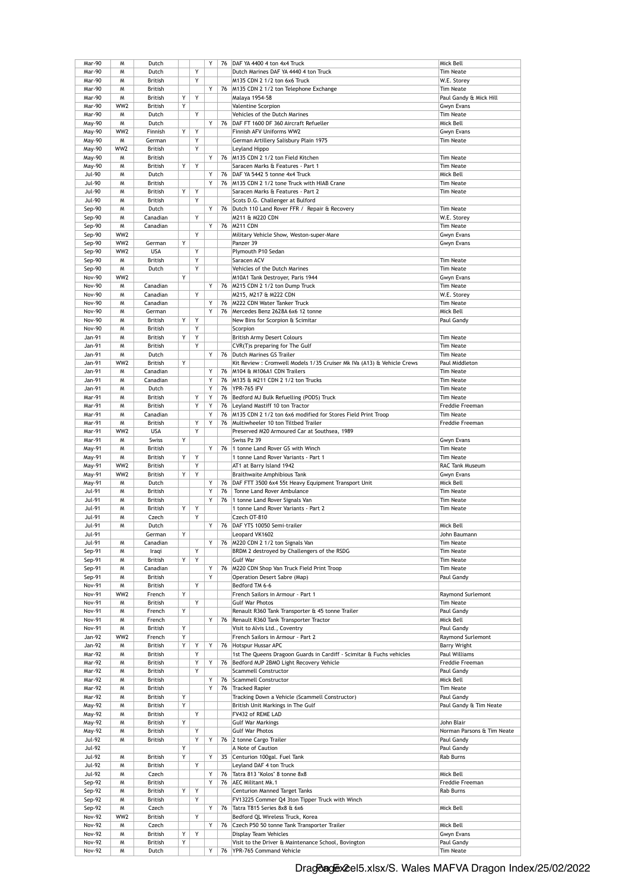| Mar-90        | M               | Dutch          |   |   | Y | 76 | DAF YA 4400 4 ton 4x4 Truck                                           | Mick Bell                  |
|---------------|-----------------|----------------|---|---|---|----|-----------------------------------------------------------------------|----------------------------|
| <b>Mar-90</b> | M               | Dutch          |   | Y |   |    | Dutch Marines DAF YA 4440 4 ton Truck                                 | Tim Neate                  |
|               |                 |                |   | Y |   |    |                                                                       |                            |
| <b>Mar-90</b> | M               | <b>British</b> |   |   |   |    | M135 CDN 2 1/2 ton 6x6 Truck                                          | W.E. Storey                |
| Mar-90        | M               | <b>British</b> |   |   | Y | 76 | M135 CDN 2 1/2 ton Telephone Exchange                                 | <b>Tim Neate</b>           |
| <b>Mar-90</b> | M               | <b>British</b> | Y | Y |   |    | Malaya 1954-58                                                        | Paul Gandy & Mick Hill     |
| <b>Mar-90</b> | WW <sub>2</sub> | <b>British</b> | Y |   |   |    | <b>Valentine Scorpion</b>                                             | <b>Gwyn Evans</b>          |
| <b>Mar-90</b> | M               | Dutch          |   | Y |   |    | <b>Vehicles of the Dutch Marines</b>                                  | <b>Tim Neate</b>           |
| May-90        | M               | Dutch          |   |   | Y | 76 | DAF FT 1600 DF 360 Aircraft Refueller                                 | Mick Bell                  |
| May-90        | WW <sub>2</sub> | Finnish        | Y | Y |   |    | <b>Finnish AFV Uniforms WW2</b>                                       | Gwyn Evans                 |
|               |                 |                |   |   |   |    |                                                                       |                            |
| May-90        | M               | German         |   | Y |   |    | German Artillery Salisbury Plain 1975                                 | Tim Neate                  |
| May-90        | WW <sub>2</sub> | <b>British</b> |   | Y |   |    | Leyland Hippo                                                         |                            |
| <b>May-90</b> | M               | <b>British</b> |   |   | Y | 76 | M135 CDN 2 1/2 ton Field Kitchen                                      | <b>Tim Neate</b>           |
| May-90        | M               | <b>British</b> | Y | Y |   |    | Saracen Marks & Features - Part 1                                     | <b>Tim Neate</b>           |
| <b>Jul-90</b> | M               | Dutch          |   |   | Y | 76 | DAF YA 5442 5 tonne 4x4 Truck                                         | Mick Bell                  |
| <b>Jul-90</b> | M               | <b>British</b> |   |   | Y | 76 | M135 CDN 2 1/2 tone Truck with HIAB Crane                             | <b>Tim Neate</b>           |
| <b>Jul-90</b> | M               | <b>British</b> | Y | Y |   |    | Saracen Marks & Features - Part 2                                     | Tim Neate                  |
|               |                 |                |   |   |   |    |                                                                       |                            |
| <b>Jul-90</b> | M               | <b>British</b> |   | Y |   |    | Scots D.G. Challenger at Bulford                                      |                            |
| Sep-90        | M               | Dutch          |   |   | Y | 76 | Dutch 110 Land Rover FFR / Repair & Recovery                          | <b>Tim Neate</b>           |
| Sep-90        | M               | Canadian       |   | Y |   |    | M211 & M220 CDN                                                       | W.E. Storey                |
| Sep-90        | M               | Canadian       |   |   | Y | 76 | <b>M211 CDN</b>                                                       | Tim Neate                  |
| Sep-90        | WW <sub>2</sub> |                |   | Y |   |    | Military Vehicle Show, Weston-super-Mare                              | Gwyn Evans                 |
| Sep-90        | WW <sub>2</sub> | German         | Y |   |   |    | Panzer 39                                                             | Gwyn Evans                 |
|               |                 |                |   |   |   |    |                                                                       |                            |
| Sep-90        | WW <sub>2</sub> | <b>USA</b>     |   | Y |   |    | Plymouth P10 Sedan                                                    |                            |
| Sep-90        | M               | <b>British</b> |   | Y |   |    | Saracen ACV                                                           | <b>Tim Neate</b>           |
| Sep-90        | W               | Dutch          |   | Y |   |    | Vehicles of the Dutch Marines                                         | Tim Neate                  |
| <b>Nov-90</b> | WW <sub>2</sub> |                | Y |   |   |    | M10A1 Tank Destroyer, Paris 1944                                      | Gwyn Evans                 |
| <b>Nov-90</b> | M               | Canadian       |   |   | Y | 76 | M215 CDN 2 1/2 ton Dump Truck                                         | <b>Tim Neate</b>           |
| <b>Nov-90</b> | M               | Canadian       |   | Y |   |    | M215, M217 & M222 CDN                                                 | W.E. Storey                |
|               |                 |                |   |   | Y | 76 | M222 CDN Water Tanker Truck                                           |                            |
| <b>Nov-90</b> | M               | Canadian       |   |   |   |    |                                                                       | <b>Tim Neate</b>           |
| <b>Nov-90</b> | M               | German         |   |   | Y | 76 | Mercedes Benz 2628A 6x6 12 tonne                                      | Mick Bell                  |
| <b>Nov-90</b> | M               | <b>British</b> | Y | Y |   |    | New Bins for Scorpion & Scimitar                                      | Paul Gandy                 |
| <b>Nov-90</b> | M               | <b>British</b> |   | Y |   |    | Scorpion                                                              |                            |
| Jan-91        | M               | <b>British</b> | Y | Y |   |    | <b>British Army Desert Colours</b>                                    | <b>Tim Neate</b>           |
| Jan-91        | M               | <b>British</b> |   | Y |   |    | CVR(T)s preparing for The Gulf                                        | <b>Tim Neate</b>           |
|               | M               | Dutch          |   |   | Y | 76 | Dutch Marines GS Trailer                                              | Tim Neate                  |
| Jan-91        |                 |                |   |   |   |    |                                                                       |                            |
| Jan-91        | WW <sub>2</sub> | <b>British</b> | Y |   |   |    | Kit Review: Cromwell Models 1/35 Cruiser Mk IVa (A13) & Vehicle Crews | Paul Middleton             |
| Jan-91        | M               | Canadian       |   |   | Y | 76 | M104 & M106A1 CDN Trailers                                            | Tim Neate                  |
| Jan-91        | M               | Canadian       |   |   | Y | 76 | M135 & M211 CDN 2 1/2 ton Trucks                                      | <b>Tim Neate</b>           |
| Jan-91        | M               | Dutch          |   |   | Y | 76 | <b>YPR-765 IFV</b>                                                    | Tim Neate                  |
| Mar-91        | M               | <b>British</b> |   | Y | Y | 76 | Bedford MJ Bulk Refuelling (PODS) Truck                               | Tim Neate                  |
| Mar-91        | M               | <b>British</b> |   | Y | Y | 76 | Leyland Mastiff 10 ton Tractor                                        | Freddie Freeman            |
|               |                 |                |   |   |   |    |                                                                       |                            |
| Mar-91        | M               | Canadian       |   |   | Y | 76 | M135 CDN 2 1/2 ton 6x6 modified for Stores Field Print Troop          | Tim Neate                  |
| Mar-91        | M               | <b>British</b> |   | Y | Y | 76 | Multiwheeler 10 ton Tiltbed Trailer                                   | Freddie Freeman            |
| Mar-91        | WW <sub>2</sub> | <b>USA</b>     |   | Y |   |    | Preserved M20 Armoured Car at Southsea, 1989                          |                            |
| Mar-91        | M               | <b>Swiss</b>   | Y |   |   |    | Swiss Pz 39                                                           | Gwyn Evans                 |
| May-91        | M               | <b>British</b> |   |   | Y | 76 | 1 tonne Land Rover GS with Winch                                      | <b>Tim Neate</b>           |
| May-91        | M               | <b>British</b> | Y | Y |   |    | 1 tonne Land Rover Variants - Part 1                                  | Tim Neate                  |
|               |                 |                |   |   |   |    |                                                                       |                            |
| May-91        | WW <sub>2</sub> | <b>British</b> |   | Y |   |    | AT1 at Barry Island 1942                                              | <b>RAC Tank Museum</b>     |
| May-91        | WW <sub>2</sub> | <b>British</b> | Y | Y |   |    | <b>Braithwaite Amphibious Tank</b>                                    | Gwyn Evans                 |
| May-91        | M               | Dutch          |   |   | Υ | 76 | DAF FTT 3500 6x4 55t Heavy Equipment Transport Unit                   | Mick Bell                  |
| <b>Jul-91</b> | M               | <b>British</b> |   |   | Y | 76 | Tonne Land Rover Ambulance                                            | <b>Tim Neate</b>           |
| <b>Jul-91</b> | M               | <b>British</b> |   |   | Y | 76 | 1 tonne Land Rover Signals Van                                        | Tim Neate                  |
| <b>Jul-91</b> | M               | <b>British</b> | Y | Y |   |    | 1 tonne Land Rover Variants - Part 2                                  | <b>Tim Neate</b>           |
| <b>Jul-91</b> | M               | Czech          |   | Y |   |    | Czech OT-810                                                          |                            |
| <b>Jul-91</b> | M               | Dutch          |   |   | Y | 76 | DAF YTS 10050 Semi-trailer                                            | Mick Bell                  |
|               |                 |                |   |   |   |    |                                                                       |                            |
| <b>Jul-91</b> |                 | German         |   |   |   |    | Leopard VK1602                                                        |                            |
| <b>Jul-91</b> | M               |                | Y |   |   |    |                                                                       | John Baumann               |
| Sep-91        | M               | Canadian       |   |   | Y | 76 | M220 CDN 2 1/2 ton Signals Van                                        | Tim Neate                  |
| Sep-91        | M               | <i>Iraqi</i>   |   | Y |   |    | BRDM 2 destroyed by Challengers of the RSDG                           | Tim Neate                  |
| Sep-91        |                 | <b>British</b> | Y | Y |   |    | Gulf War                                                              | <b>Tim Neate</b>           |
|               |                 | Canadian       |   |   | Y | 76 |                                                                       |                            |
|               | M               |                |   |   |   |    | M220 CDN Shop Van Truck Field Print Troop                             | Tim Neate                  |
| Sep-91        | M               | <b>British</b> |   |   | Y |    | Operation Desert Sabre (Map)                                          | Paul Gandy                 |
| <b>Nov-91</b> | M               | <b>British</b> |   | Y |   |    | Bedford TM 6-6                                                        |                            |
| <b>Nov-91</b> | WW <sub>2</sub> | French         | Y |   |   |    | French Sailors in Armour - Part 1                                     | <b>Raymond Surlemont</b>   |
| <b>Nov-91</b> | M               | <b>British</b> |   | Y |   |    | <b>Gulf War Photos</b>                                                | Tim Neate                  |
| <b>Nov-91</b> | M               | French         | Y |   |   |    | Renault R360 Tank Transporter & 45 tonne Trailer                      | Paul Gandy                 |
| <b>Nov-91</b> | M               | French         |   |   | Y | 76 | Renault R360 Tank Transporter Tractor                                 | Mick Bell                  |
| <b>Nov-91</b> | M               | <b>British</b> | Y |   |   |    | Visit to Alvis Ltd., Coventry                                         | Paul Gandy                 |
|               |                 |                | Y |   |   |    |                                                                       |                            |
| Jan-92        | WW <sub>2</sub> | French         |   |   |   |    | French Sailors in Armour - Part 2                                     | <b>Raymond Surlemont</b>   |
| Jan-92        | M               | <b>British</b> | Y | Y | Y | 76 | Hotspur Hussar APC                                                    | <b>Barry Wright</b>        |
| <b>Mar-92</b> | M               | <b>British</b> |   | Y |   |    | 1st The Queens Dragoon Guards in Cardiff - Scimitar & Fuchs vehicles  | Paul Williams              |
| <b>Mar-92</b> | M               | <b>British</b> |   | Y | Y | 76 | Bedford MJP 2BMO Light Recovery Vehicle                               | Freddie Freeman            |
| <b>Mar-92</b> | M               | <b>British</b> |   | Y |   |    | <b>Scammell Constructor</b>                                           | Paul Gandy                 |
| <b>Mar-92</b> | M               | <b>British</b> |   |   | Y | 76 | Scammell Constructor                                                  | Mick Bell                  |
| <b>Mar-92</b> | M               | <b>British</b> |   |   | Y | 76 |                                                                       | Tim Neate                  |
|               |                 |                | Y |   |   |    | <b>Tracked Rapier</b>                                                 |                            |
| Mar-92        | M               | <b>British</b> |   |   |   |    | Tracking Down a Vehicle (Scammell Constructor)                        | Paul Gandy                 |
| May-92        | M               | <b>British</b> | Y |   |   |    | British Unit Markings in The Gulf                                     | Paul Gandy & Tim Neate     |
| May-92        | M               | British        |   | Y |   |    | FV432 of REME LAD                                                     |                            |
| May-92        | M               | <b>British</b> | Y |   |   |    | <b>Gulf War Markings</b>                                              | John Blair                 |
| May-92        | M               | British        |   | Y |   |    | <b>Gulf War Photos</b>                                                | Norman Parsons & Tim Neate |
| <b>Jul-92</b> | M               | <b>British</b> |   | Y | Y | 76 | 2 tonne Cargo Trailer                                                 | Paul Gandy                 |
|               |                 |                | Y |   |   |    |                                                                       |                            |
| <b>Jul-92</b> |                 |                |   |   |   |    | A Note of Caution                                                     | Paul Gandy                 |
| <b>Jul-92</b> | M               | <b>British</b> | Y |   | Y | 35 | Centurion 100gal. Fuel Tank                                           | Rab Burns                  |
| <b>Jul-92</b> | M               | British        |   | Y |   |    | Leyland DAF 4 ton Truck                                               |                            |
| <b>Jul-92</b> | M               | Czech          |   |   | Y | 76 | Tatra 813 "Kolos" 8 tonne 8x8                                         | Mick Bell                  |
| Sep-92        | M               | <b>British</b> |   |   | Y | 76 | <b>AEC Militant Mk.1</b>                                              | Freddie Freeman            |
| Sep-92        | M               | <b>British</b> | Y | Y |   |    | <b>Centurion Manned Target Tanks</b>                                  | Rab Burns                  |
|               | M               | British        |   | Y |   |    |                                                                       |                            |
| Sep-92        |                 |                |   |   |   |    | FV13225 Commer Q4 3ton Tipper Truck with Winch                        |                            |
| Sep-92        | M               | Czech          |   |   | Y | 76 | Tatra T815 Series 8x8 & 6x6                                           | Mick Bell                  |
| <b>Nov-92</b> | WW <sub>2</sub> | <b>British</b> |   | Y |   |    | Bedford QL Wireless Truck, Korea                                      |                            |
| <b>Nov-92</b> | M               | Czech          |   |   | Y | 76 | Czech P50 50 tonne Tank Transporter Trailer                           | Mick Bell                  |
| <b>Nov-92</b> | M               | British        | Y | Y |   |    | Display Team Vehicles                                                 | Gwyn Evans                 |
| <b>Nov-92</b> | M               | <b>British</b> | Y |   |   |    | Visit to the Driver & Maintenance School, Bovington                   | Paul Gandy                 |

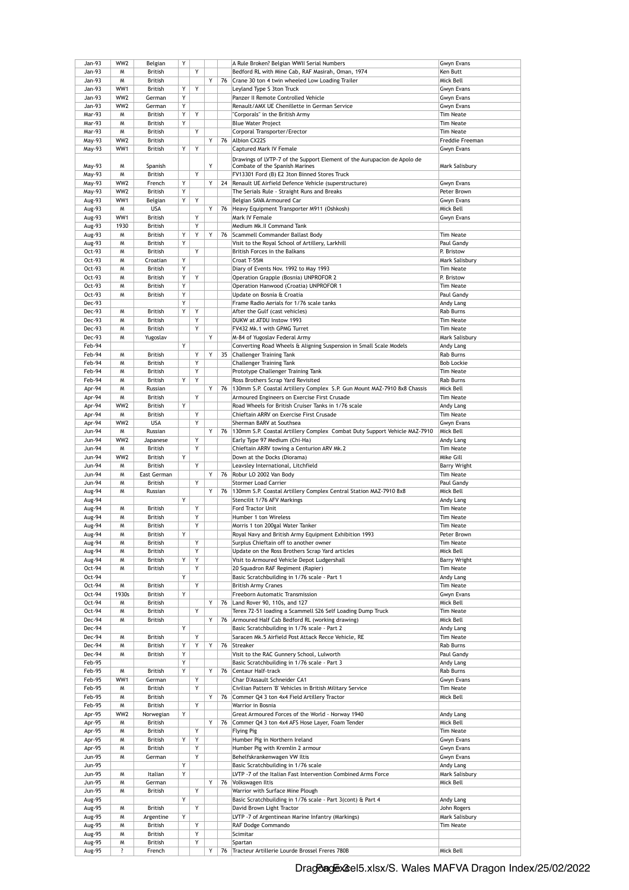| Jan-93        | WW <sub>2</sub> | Belgian        | Y |    |   |    | A Rule Broken? Belgian WWII Serial Numbers                                | <b>Gwyn Evans</b>   |
|---------------|-----------------|----------------|---|----|---|----|---------------------------------------------------------------------------|---------------------|
| $Jan-93$      | M               | <b>British</b> |   | Y  |   |    | Bedford RL with Mine Cab, RAF Masirah, Oman, 1974                         | Ken Butt            |
| $Jan-93$      | M               | <b>British</b> |   |    | Y | 76 | Crane 30 ton 4 twin wheeled Low Loading Trailer                           | Mick Bell           |
|               |                 |                |   |    |   |    |                                                                           |                     |
| $Jan-93$      | WW1             | <b>British</b> | Y | Y  |   |    | Leyland Type S 3ton Truck                                                 | <b>Gwyn Evans</b>   |
| Jan-93        | WW <sub>2</sub> | German         | Y |    |   |    | Panzer II Remote Controlled Vehicle                                       | <b>Gwyn Evans</b>   |
| $Jan-93$      | WW <sub>2</sub> | German         | Y |    |   |    | Renault/AMX UE Chenillette in German Service                              | <b>Gwyn Evans</b>   |
| Mar-93        | M               | <b>British</b> | Y | Y  |   |    | "Corporals" in the British Army                                           | <b>Tim Neate</b>    |
| Mar-93        | M               | <b>British</b> | Y |    |   |    | <b>Blue Water Project</b>                                                 | <b>Tim Neate</b>    |
| Mar-93        | M               | <b>British</b> |   | Y  |   |    | Corporal Transporter/Erector                                              | <b>Tim Neate</b>    |
| May-93        | WW <sub>2</sub> | <b>British</b> |   |    | Y | 76 | <b>Albion CX22S</b>                                                       | Freddie Freeman     |
|               |                 |                | Y | Y. |   |    |                                                                           |                     |
| May-93        | WW1             | <b>British</b> |   |    |   |    | <b>Captured Mark IV Female</b>                                            | Gwyn Evans          |
|               |                 |                |   |    |   |    | Drawings of LVTP-7 of the Support Element of the Aurupacion de Apolo de   |                     |
| May-93        | M               | Spanish        |   |    | Y |    | Combate of the Spanish Marines                                            | Mark Salisbury      |
| May-93        | M               | <b>British</b> |   | Y  |   |    | FV13301 Ford (B) E2 3ton Binned Stores Truck                              |                     |
| May-93        | WW <sub>2</sub> | French         | Y |    | Y | 24 | Renault UE Airfield Defence Vehicle (superstructure)                      | <b>Gwyn Evans</b>   |
| May-93        | WW <sub>2</sub> | <b>British</b> | Y |    |   |    | The Serials Rule - Straight Runs and Breaks                               | Peter Brown         |
| Aug-93        | WW1             | Belgian        | Y | Y  |   |    | Belgian SAVA Armoured Car                                                 | <b>Gwyn Evans</b>   |
| Aug-93        | M               | <b>USA</b>     |   |    | Y | 76 | Heavy Equipment Transporter M911 (Oshkosh)                                | Mick Bell           |
|               | WW1             | <b>British</b> |   | Y  |   |    | Mark IV Female                                                            |                     |
| Aug-93        |                 |                |   |    |   |    |                                                                           | Gwyn Evans          |
| Aug-93        | 1930            | <b>British</b> |   | Y  |   |    | <b>Medium Mk.II Command Tank</b>                                          |                     |
| Aug-93        | M               | <b>British</b> | Y | Y  | Y | 76 | Scammell Commander Ballast Body                                           | <b>Tim Neate</b>    |
| Aug-93        | M               | <b>British</b> | Y |    |   |    | Visit to the Royal School of Artillery, Larkhill                          | Paul Gandy          |
| Oct-93        | M               | <b>British</b> |   | Y  |   |    | British Forces in the Balkans                                             | P. Bristow          |
| Oct-93        | M               | Croatian       | Y |    |   |    | Croat T-55M                                                               | Mark Salisbury      |
| Oct-93        | W               | <b>British</b> | Y |    |   |    | Diary of Events Nov. 1992 to May 1993                                     | <b>Tim Neate</b>    |
| Oct-93        | M               | <b>British</b> | Y | Y  |   |    | Operation Grapple (Bosnia) UNPROFOR 2                                     | P. Bristow          |
|               |                 |                | Y |    |   |    |                                                                           |                     |
| <b>Oct-93</b> | M               | <b>British</b> |   |    |   |    | <b>Operation Hanwood (Croatia) UNPROFOR 1</b>                             | Tim Neate           |
| <b>Oct-93</b> | M               | <b>British</b> | Y |    |   |    | Update on Bosnia & Croatia                                                | Paul Gandy          |
| $Dec-93$      |                 |                | Y |    |   |    | Frame Radio Aerials for 1/76 scale tanks                                  | Andy Lang           |
| Dec-93        | M               | <b>British</b> | Y | Y  |   |    | After the Gulf (cast vehicles)                                            | Rab Burns           |
| $Dec-93$      | M               | <b>British</b> |   | Y  |   |    | DUKW at ATDU Instow 1993                                                  | <b>Tim Neate</b>    |
| Dec-93        | M               | <b>British</b> |   | Y  |   |    | FV432 Mk.1 with GPMG Turret                                               | <b>Tim Neate</b>    |
| $Dec-93$      | M               | Yugoslav       |   |    | Y |    | M-84 of Yugoslav Federal Army                                             | Mark Salisbury      |
| Feb-94        |                 |                | Y |    |   |    | Converting Road Wheels & Aligning Suspension in Small Scale Models        | Andy Lang           |
| Feb-94        | M               | <b>British</b> |   | Y  | Y | 35 | <b>Challenger Training Tank</b>                                           | Rab Burns           |
|               |                 |                |   |    |   |    |                                                                           |                     |
| Feb-94        | M               | <b>British</b> |   | Y  |   |    | <b>Challenger Training Tank</b>                                           | <b>Bob Lockie</b>   |
| Feb-94        | M               | <b>British</b> |   | Y  |   |    | Prototype Challenger Training Tank                                        | <b>Tim Neate</b>    |
| Feb-94        | M               | <b>British</b> | Y | Y  |   |    | Ross Brothers Scrap Yard Revisited                                        | Rab Burns           |
| Apr-94        | M               | Russian        |   |    | Y | 76 | 130mm S.P. Coastal Artillery Complex S.P. Gun Mount MAZ-7910 8x8 Chassis  | Mick Bell           |
| Apr-94        | M               | <b>British</b> |   | Y  |   |    | Armoured Engineers on Exercise First Crusade                              | <b>Tim Neate</b>    |
| Apr-94        | WW <sub>2</sub> | <b>British</b> | Y |    |   |    | Road Wheels for British Cruiser Tanks in 1/76 scale                       | Andy Lang           |
| Apr-94        | M               | <b>British</b> |   | Y  |   |    | Chieftain ARRV on Exercise First Crusade                                  | <b>Tim Neate</b>    |
|               |                 |                |   |    |   |    |                                                                           |                     |
| Apr-94        | WW <sub>2</sub> | <b>USA</b>     |   | Y  |   |    | Sherman BARV at Southsea                                                  | Gwyn Evans          |
| <b>Jun-94</b> | M               | Russian        |   |    | Y | 76 | 130mm S.P. Coastal Artillery Complex Combat Duty Support Vehicle MAZ-7910 | Mick Bell           |
| <b>Jun-94</b> | WW <sub>2</sub> | Japanese       |   | Y  |   |    | Early Type 97 Medium (Chi-Ha)                                             | Andy Lang           |
| <b>Jun-94</b> | M               | <b>British</b> |   | Y  |   |    | Chieftain ARRV towing a Centurion ARV Mk.2                                | <b>Tim Neate</b>    |
| <b>Jun-94</b> | WW <sub>2</sub> | <b>British</b> |   |    |   |    |                                                                           | Mike Gill           |
|               |                 |                | Y |    |   |    | Down at the Docks (Diorama)                                               |                     |
|               |                 |                |   |    |   |    |                                                                           |                     |
| <b>Jun-94</b> | M               | <b>British</b> |   | Y  |   |    | Leavsley International, Litchfield                                        | <b>Barry Wright</b> |
| <b>Jun-94</b> | M               | East German    |   |    | Y | 76 | Robur LO 2002 Van Body                                                    | <b>Tim Neate</b>    |
| <b>Jun-94</b> | M               | <b>British</b> |   | Y. |   |    | <b>Stormer Load Carrier</b>                                               | Paul Gandy          |
| Aug-94        | M               | Russian        |   |    | Y | 76 | 130mm S.P. Coastal Artillery Complex Central Station MAZ-7910 8x8         | Mick Bell           |
| Aug-94        |                 |                | Y |    |   |    | Stencilit 1/76 AFV Markings                                               | Andy Lang           |
| Aug-94        | M               | <b>British</b> |   | Y  |   |    | <b>Ford Tractor Unit</b>                                                  | <b>Tim Neate</b>    |
| Aug-94        | M               | <b>British</b> |   | Y  |   |    | Humber 1 ton Wireless                                                     | <b>Tim Neate</b>    |
| Aug-94        | M               | <b>British</b> |   | Y  |   |    | Morris 1 ton 200gal Water Tanker                                          | <b>Tim Neate</b>    |
|               | M               | <b>British</b> | Y |    |   |    |                                                                           | Peter Brown         |
| Aug-94        |                 |                |   | Y  |   |    | Royal Navy and British Army Equipment Exhibition 1993                     |                     |
| Aug-94        | M               | <b>British</b> |   |    |   |    | Surplus Chieftain off to another owner                                    | <b>Tim Neate</b>    |
| Aug-94        | M               | <b>British</b> |   | Y  |   |    | Update on the Ross Brothers Scrap Yard articles                           | Mick Bell           |
| Aug-94        | M               | <b>British</b> | Y | Y  |   |    | Visit to Armoured Vehicle Depot Ludgershall                               | <b>Barry Wright</b> |
| Oct-94        | M               | <b>British</b> |   | Y  |   |    | 20 Squadron RAF Regiment (Rapier)                                         | <b>Tim Neate</b>    |
| <b>Oct-94</b> |                 |                | Y |    |   |    | Basic Scratchbuilding in 1/76 scale - Part 1                              | Andy Lang           |
| Oct-94        | M               | <b>British</b> |   | Y  |   |    | <b>British Army Cranes</b>                                                | <b>Tim Neate</b>    |
| <b>Oct-94</b> | 1930s           | <b>British</b> | Y |    |   |    | Freeborn Automatic Transmission                                           | Gwyn Evans          |
| <b>Oct-94</b> | M               | <b>British</b> |   |    | Y | 76 | Land Rover 90, 110s, and 127                                              | Mick Bell           |
| <b>Oct-94</b> | M               | <b>British</b> |   | Y  |   |    | Terex 72-51 loading a Scammell S26 Self Loading Dump Truck                | <b>Tim Neate</b>    |
| $Dec-94$      | M               | <b>British</b> |   |    | Y | 76 |                                                                           | Mick Bell           |
|               |                 |                | Y |    |   |    | Armoured Half Cab Bedford RL (working drawing)                            |                     |
| $Dec-94$      |                 |                |   |    |   |    | Basic Scratchbuilding in 1/76 scale - Part 2                              | Andy Lang           |
| Dec-94        | M               | <b>British</b> |   | Y  |   |    | Saracen Mk.5 Airfield Post Attack Recce Vehicle, RE                       | <b>Tim Neate</b>    |
| $Dec-94$      | M               | <b>British</b> | Y | Y  | Y | 76 | Streaker                                                                  | Rab Burns           |
| $Dec-94$      | M               | <b>British</b> | Y |    |   |    | Visit to the RAC Gunnery School, Lulworth                                 | Paul Gandy          |
| Feb-95        |                 |                | Y |    |   |    | Basic Scratchbuilding in 1/76 scale - Part 3                              | Andy Lang           |
| Feb-95        | M               | <b>British</b> | Y |    | Y | 76 | Centaur Half-track                                                        | Rab Burns           |
| Feb-95        | WW1             | German         |   | Y  |   |    | Char D'Assault Schneider CA1                                              | Gwyn Evans          |
| Feb-95        | M               | <b>British</b> |   | Y  |   |    | Civilian Pattern 'B' Vehicles in British Military Service                 | <b>Tim Neate</b>    |
| Feb-95        | W               | <b>British</b> |   |    | Y | 76 | Commer Q4 3 ton 4x4 Field Artillery Tractor                               | Mick Bell           |
|               |                 |                |   | Y  |   |    | Warrior in Bosnia                                                         |                     |
| Feb-95        | M               | <b>British</b> |   |    |   |    |                                                                           |                     |
| Apr-95        | WW <sub>2</sub> | Norwegian      | Y |    |   |    | Great Armoured Forces of the World - Norway 1940                          | Andy Lang           |
| Apr-95        | M               | <b>British</b> |   |    | Y | 76 | Commer Q4 3 ton 4x4 AFS Hose Layer, Foam Tender                           | Mick Bell           |
| Apr-95        | M               | <b>British</b> |   | Y  |   |    | <b>Flying Pig</b>                                                         | <b>Tim Neate</b>    |
| Apr-95        | M               | <b>British</b> | Y | Y  |   |    | Humber Pig in Northern Ireland                                            | <b>Gwyn Evans</b>   |
| Apr-95        | M               | <b>British</b> |   | Y  |   |    | Humber Pig with Kremlin 2 armour                                          | Gwyn Evans          |
| Jun-95        | M               | German         |   | Y  |   |    | Behelfskrankenwagen VW Iltis                                              | Gwyn Evans          |
| Jun-95        |                 |                | Y |    |   |    | Basic Scratchbuilding in 1/76 scale                                       | Andy Lang           |
| <b>Jun-95</b> | M               | Italian        | Y |    |   |    | LVTP -7 of the Italian Fast Intervention Combined Arms Force              | Mark Salisbury      |
| <b>Jun-95</b> | M               | German         |   |    | Y | 76 |                                                                           | Mick Bell           |
|               |                 |                |   |    |   |    | Volkswagen Iltis                                                          |                     |
| Jun-95        | M               | <b>British</b> |   | Y  |   |    | Warrior with Surface Mine Plough                                          |                     |
| Aug-95        |                 |                | Y |    |   |    | Basic Scratchbuilding in 1/76 scale - Part 3(cont) & Part 4               | Andy Lang           |
| Aug-95        | M               | <b>British</b> |   | Y  |   |    | David Brown Light Tractor                                                 | John Rogers         |
| Aug-95        | M               | Argentine      | Y |    |   |    | LVTP -7 of Argentinean Marine Infantry (Markings)                         | Mark Salisbury      |
| Aug-95        | M               | <b>British</b> |   | Y  |   |    | RAF Dodge Commando                                                        | <b>Tim Neate</b>    |
| Aug-95        | M               | <b>British</b> |   | Y  |   |    | Scimitar                                                                  |                     |
| Aug-95        | M               | <b>British</b> |   | Y  |   |    | Spartan                                                                   |                     |

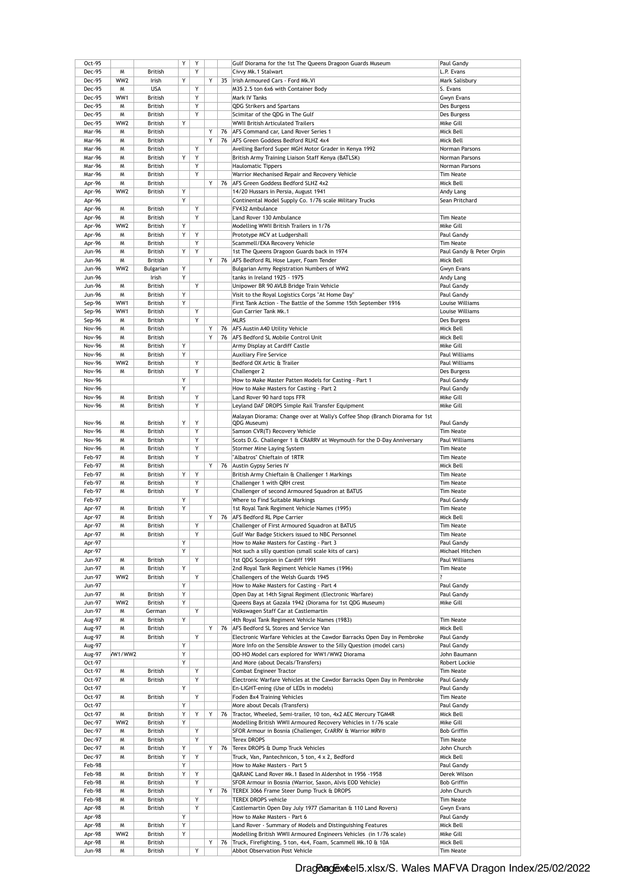| Oct-95        |                 |                  | Y | Y  |   |    | Gulf Diorama for the 1st The Queens Dragoon Guards Museum                   | Paul Gandy               |
|---------------|-----------------|------------------|---|----|---|----|-----------------------------------------------------------------------------|--------------------------|
| <b>Dec-95</b> | M               | <b>British</b>   |   | Y  |   |    | Civvy Mk.1 Stalwart                                                         | L.P. Evans               |
| <b>Dec-95</b> | WW <sub>2</sub> | Irish            | Y |    | Y | 35 | Irish Armoured Cars - Ford Mk. VI                                           | Mark Salisbury           |
| <b>Dec-95</b> | M               | <b>USA</b>       |   | Y  |   |    | M35 2.5 ton 6x6 with Container Body                                         | S. Evans                 |
| <b>Dec-95</b> | WW1             | <b>British</b>   |   | Y  |   |    | Mark IV Tanks                                                               | <b>Gwyn Evans</b>        |
| <b>Dec-95</b> | M               | <b>British</b>   |   | Y  |   |    | <b>QDG Strikers and Spartans</b>                                            | Des Burgess              |
| <b>Dec-95</b> | M               | British          |   | Y  |   |    | Scimitar of the QDG in The Gulf                                             | Des Burgess              |
| Dec-95        | WW <sub>2</sub> | <b>British</b>   | Y |    |   |    | <b>WWII British Articulated Trailers</b>                                    | <b>Mike Gill</b>         |
| Mar-96        | M               | <b>British</b>   |   |    | Y | 76 | AFS Command car, Land Rover Series 1                                        | Mick Bell                |
| Mar-96        | M               | <b>British</b>   |   |    | Y | 76 | AFS Green Goddess Bedford RLHZ 4x4                                          | Mick Bell                |
| Mar-96        | M               | <b>British</b>   |   | Y  |   |    | Avelling Barford Super MGH Motor Grader in Kenya 1992                       | Norman Parsons           |
| <b>Mar-96</b> | M               | <b>British</b>   | Y | Y  |   |    | British Army Training Liaison Staff Kenya (BATLSK)                          | Norman Parsons           |
| <b>Mar-96</b> | M               | <b>British</b>   |   | Y  |   |    | <b>Haulomatic Tippers</b>                                                   | Norman Parsons           |
| <b>Mar-96</b> | M               | <b>British</b>   |   | Y  |   |    | Warrior Mechanised Repair and Recovery Vehicle                              | <b>Tim Neate</b>         |
| Apr-96        | M               | <b>British</b>   |   |    | Y | 76 | <b>AFS Green Goddess Bedford SLHZ 4x2</b>                                   | Mick Bell                |
| Apr-96        | WW <sub>2</sub> | <b>British</b>   | Y |    |   |    | 14/20 Hussars in Persia, August 1941                                        | Andy Lang                |
| Apr-96        |                 |                  | Y |    |   |    | Continental Model Supply Co. 1/76 scale Military Trucks                     | Sean Pritchard           |
|               |                 |                  |   | Y  |   |    |                                                                             |                          |
| Apr-96        | M               | <b>British</b>   |   |    |   |    | <b>FV432 Ambulance</b>                                                      |                          |
| Apr-96        | M               | <b>British</b>   |   | Y  |   |    | Land Rover 130 Ambulance                                                    | <b>Tim Neate</b>         |
| Apr-96        | WW <sub>2</sub> | <b>British</b>   | Y |    |   |    | Modelling WWII British Trailers in 1/76                                     | Mike Gill                |
| Apr-96        | M               | <b>British</b>   | Y | Y  |   |    | Prototype MCV at Ludgershall                                                | Paul Gandy               |
| Apr-96        | M               | <b>British</b>   |   | Y  |   |    | Scammell/EKA Recovery Vehicle                                               | <b>Tim Neate</b>         |
| <b>Jun-96</b> | M               | <b>British</b>   | Y | Y. |   |    | 1st The Queens Dragoon Guards back in 1974                                  | Paul Gandy & Peter Orpin |
| <b>Jun-96</b> | M               | <b>British</b>   |   |    | Y | 76 | AFS Bedford RL Hose Layer, Foam Tender                                      | Mick Bell                |
| <b>Jun-96</b> | WW <sub>2</sub> | <b>Bulgarian</b> | Y |    |   |    | Bulgarian Army Registration Numbers of WW2                                  | <b>Gwyn Evans</b>        |
| <b>Jun-96</b> |                 | Irish            | Y |    |   |    | tanks in Ireland 1925 - 1975                                                | Andy Lang                |
| <b>Jun-96</b> | M               | British          |   | Y. |   |    | Unipower BR 90 AVLB Bridge Train Vehicle                                    | Paul Gandy               |
| <b>Jun-96</b> | M               | British          | Y |    |   |    | Visit to the Royal Logistics Corps "At Home Day"                            | Paul Gandy               |
| Sep-96        | WW1             | <b>British</b>   | Y |    |   |    | First Tank Action - The Battle of the Somme 15th September 1916             | Louise Williams          |
| Sep-96        | WW1             | <b>British</b>   |   | Y  |   |    | <b>Gun Carrier Tank Mk.1</b>                                                | Louise Williams          |
| Sep-96        | M               | <b>British</b>   |   | Y  |   |    | <b>MLRS</b>                                                                 | Des Burgess              |
| <b>Nov-96</b> | M               | British          |   |    | Y | 76 | AFS Austin A40 Utility Vehicle                                              | Mick Bell                |
| <b>Nov-96</b> | M               | British          |   |    | Y | 76 | <b>AFS Bedford SL Mobile Control Unit</b>                                   | Mick Bell                |
|               |                 |                  | Y |    |   |    |                                                                             | Mike Gill                |
| <b>Nov-96</b> | M               | <b>British</b>   |   |    |   |    | Army Display at Cardiff Castle                                              |                          |
| <b>Nov-96</b> | M               | <b>British</b>   | Y |    |   |    | <b>Auxiliary Fire Service</b>                                               | Paul Williams            |
| <b>Nov-96</b> | WW <sub>2</sub> | <b>British</b>   |   | Y  |   |    | Bedford OX Artic & Trailer                                                  | <b>Paul Williams</b>     |
| <b>Nov-96</b> | M               | British          |   | Y  |   |    | Challenger 2                                                                | Des Burgess              |
| <b>Nov-96</b> |                 |                  | Y |    |   |    | How to Make Master Patten Models for Casting - Part 1                       | Paul Gandy               |
| <b>Nov-96</b> |                 |                  | Y |    |   |    | How to Make Masters for Casting - Part 2                                    | Paul Gandy               |
| <b>Nov-96</b> | M               | <b>British</b>   |   | Y  |   |    | Land Rover 90 hard tops FFR                                                 | Mike Gill                |
| <b>Nov-96</b> | M               | British          |   | Y  |   |    | Leyland DAF DROPS Simple Rail Transfer Equipment                            | Mike Gill                |
|               |                 |                  |   |    |   |    | Malayan Diorama: Change over at Wally's Coffee Shop (Branch Diorama for 1st |                          |
| <b>Nov-96</b> | M               | British          | Y | Y  |   |    | QDG Museum)                                                                 | Paul Gandy               |
| <b>Nov-96</b> | M               | <b>British</b>   |   | Y  |   |    | Samson CVR(T) Recovery Vehicle                                              | <b>Tim Neate</b>         |
| <b>Nov-96</b> | M               | <b>British</b>   |   | Y  |   |    | Scots D.G. Challenger 1 & CRARRV at Weymouth for the D-Day Anniversary      | Paul Williams            |
| <b>Nov-96</b> | M               | British          |   | Y  |   |    | <b>Stormer Mine Laying System</b>                                           | <b>Tim Neate</b>         |
| Feb-97        | M               | British          |   | Y  |   |    | 'Albatros" Chieftain of 1RTR                                                | <b>Tim Neate</b>         |
| Feb-97        | M               | British          |   |    | Y | 76 | Austin Gypsy Series IV                                                      | Mick Bell                |
| Feb-97        |                 |                  | Y | Y  |   |    |                                                                             | <b>Tim Neate</b>         |
|               | M               | British          |   | Y  |   |    | British Army Chieftain & Challenger 1 Markings                              |                          |
| Feb-97        | M               | British          |   |    |   |    | Challenger 1 with QRH crest                                                 | Tim Neate                |
| Feb-97        | M               | <b>British</b>   |   | Y  |   |    | Challenger of second Armoured Squadron at BATUS                             | <b>Tim Neate</b>         |
| Feb-97        |                 |                  | Y |    |   |    | Where to Find Suitable Markings                                             | Paul Gandy               |
| Apr-97        | M               | British          | Y |    |   |    | 1st Royal Tank Regiment Vehicle Names (1995)                                | <b>Tim Neate</b>         |
| Apr-97        | M               | <b>British</b>   |   |    | Y | 76 | <b>AFS Bedford RL Pipe Carrier</b>                                          | Mick Bell                |
| Apr-97        | M               | <b>British</b>   |   | Y  |   |    | Challenger of First Armoured Squadron at BATUS                              | <b>Tim Neate</b>         |
| Apr-97        | M               | <b>British</b>   |   | Y  |   |    | Gulf War Badge Stickers issued to NBC Personnel                             | <b>Tim Neate</b>         |
| Apr-97        |                 |                  | Y |    |   |    | How to Make Masters for Casting - Part 3                                    | Paul Gandy               |
| Apr-97        |                 |                  | Y |    |   |    | Not such a silly question (small scale kits of cars)                        | Michael Hitchen          |
| Jun-97        | M               | British          |   | Y  |   |    | 1st QDG Scorpion in Cardiff 1991                                            | <b>Paul Williams</b>     |
| Jun-97        | M               | <b>British</b>   | Y |    |   |    | 2nd Royal Tank Regiment Vehicle Names (1996)                                | <b>Tim Neate</b>         |
| Jun-97        | WW <sub>2</sub> | <b>British</b>   |   | Y. |   |    | Challengers of the Welsh Guards 1945                                        |                          |
| Jun-97        |                 |                  | Y |    |   |    | How to Make Masters for Casting - Part 4                                    | Paul Gandy               |
| Jun-97        | M               | <b>British</b>   | Y |    |   |    | Open Day at 14th Signal Regiment (Electronic Warfare)                       | Paul Gandy               |
| Jun-97        | WW <sub>2</sub> | <b>British</b>   | Y |    |   |    | Queens Bays at Gazala 1942 (Diorama for 1st QDG Museum)                     | Mike Gill                |
|               |                 |                  |   | Y. |   |    |                                                                             |                          |
| Jun-97        | M               | German           |   |    |   |    | Volkswagen Staff Car at Castlemartin                                        |                          |
| Aug-97        | M               | <b>British</b>   | Y |    |   |    | 4th Royal Tank Regiment Vehicle Names (1983)                                | <b>Tim Neate</b>         |
| Aug-97        | M               | <b>British</b>   |   |    | Y | 76 | <b>AFS Bedford SL Stores and Service Van</b>                                | Mick Bell                |
| Aug-97        | M               | <b>British</b>   |   | Y  |   |    | Electronic Warfare Vehicles at the Cawdor Barracks Open Day in Pembroke     | Paul Gandy               |
| Aug-97        |                 |                  | Y |    |   |    | More Info on the Sensible Answer to the Silly Question (model cars)         | Paul Gandy               |
| Aug-97        | W1/WW2          |                  | Y |    |   |    | OO-HO Model cars explored for WW1/WW2 Diorama                               | John Baumann             |
| Oct-97        |                 |                  | Y |    |   |    | And More (about Decals/Transfers)                                           | Robert Lockie            |
| Oct-97        | M               | <b>British</b>   |   | Y  |   |    | <b>Combat Engineer Tractor</b>                                              | <b>Tim Neate</b>         |
| Oct-97        | M               | <b>British</b>   |   | Y. |   |    | Electronic Warfare Vehicles at the Cawdor Barracks Open Day in Pembroke     | Paul Gandy               |
| Oct-97        |                 |                  | Y |    |   |    | En-LIGHT-ening (Use of LEDs in models)                                      | Paul Gandy               |
| Oct-97        | M               | British          |   | Y  |   |    | Foden 8x4 Training Vehicles                                                 | Tim Neate                |
| <b>Oct-97</b> |                 |                  | Y |    |   |    | More about Decals (Transfers)                                               | Paul Gandy               |
| Oct-97        | M               | <b>British</b>   | Y | Y. | Y | 76 | Tractor, Wheeled, Semi-trailer, 10 ton, 4x2 AEC Mercury TGM4R               | Mick Bell                |
| Dec-97        | WW <sub>2</sub> | <b>British</b>   | Y |    |   |    | Modelling British WWII Armoured Recovery Vehicles in 1/76 scale             | Mike Gill                |
| Dec-97        | M               | <b>British</b>   |   | Y  |   |    | SFOR Armour in Bosnia (Challenger, CrARRV & Warrior MRV®                    | <b>Bob Griffin</b>       |
|               |                 |                  |   |    |   |    |                                                                             |                          |
| Dec-97        | M               | <b>British</b>   |   | Y  |   |    | <b>Terex DROPS</b>                                                          | <b>Tim Neate</b>         |
| Dec-97        | M               | <b>British</b>   | Y |    |   | 76 | Terex DROPS & Dump Truck Vehicles                                           | John Church              |
| Dec-97        | M               | British          | Y | Y. |   |    | Truck, Van, Pantechnicon, 5 ton, 4 x 2, Bedford                             | Mick Bell                |
| Feb-98        |                 |                  | Y |    |   |    | How to Make Masters - Part 5                                                | Paul Gandy               |
| Feb-98        | M               | <b>British</b>   | Y | Y  |   |    | QARANC Land Rover Mk.1 Based In Aldershot in 1956 -1958                     | Derek Wilson             |
| Feb-98        | M               | <b>British</b>   |   | Y  |   |    | SFOR Armour in Bosnia (Warrior, Saxon, Alvis EOD Vehicle)                   | <b>Bob Griffin</b>       |
| Feb-98        | M               | <b>British</b>   |   |    | Y | 76 | TEREX 3066 Frame Steer Dump Truck & DROPS                                   | John Church              |
| Feb-98        | M               | <b>British</b>   |   | Y  |   |    | <b>TEREX DROPS vehicle</b>                                                  | <b>Tim Neate</b>         |
| Apr-98        | M               | <b>British</b>   |   | Y  |   |    | Castlemartin Open Day July 1977 (Samaritan & 110 Land Rovers)               | Gwyn Evans               |
| Apr-98        |                 |                  | Y |    |   |    | How to Make Masters - Part 6                                                | Paul Gandy               |
| Apr-98        | M               | <b>British</b>   | Y |    |   |    | Land Rover - Summary of Models and Distinguishing Features                  | Mick Bell                |
| Apr-98        | WW <sub>2</sub> | <b>British</b>   | Y |    |   |    | Modelling British WWII Armoured Engineers Vehicles (in 1/76 scale)          | Mike Gill                |
| Apr-98        | M               | <b>British</b>   |   |    | Y | 76 | Truck, Firefighting, 5 ton, 4x4, Foam, Scammell Mk.10 & 10A                 | Mick Bell                |
|               |                 |                  |   | Y. |   |    |                                                                             |                          |
| <b>Jun-98</b> | M               | <b>British</b>   |   |    |   |    | <b>Abbot Observation Post Vehicle</b>                                       | <b>Tim Neate</b>         |

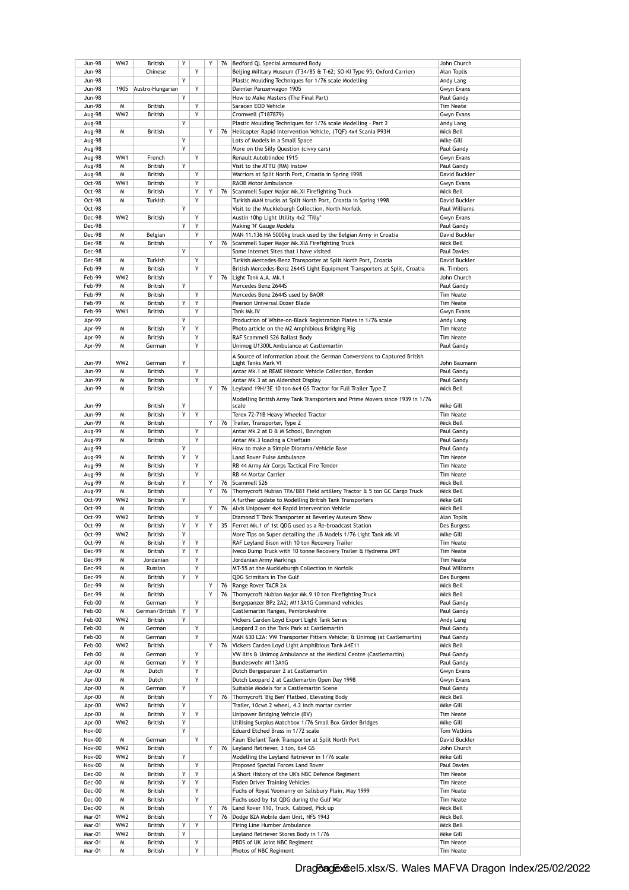| <b>Jun-98</b>    | WW <sub>2</sub> | <b>British</b>   | Y |    | Y | 76 | Bedford QL Special Armoured Body                                             | John Church        |
|------------------|-----------------|------------------|---|----|---|----|------------------------------------------------------------------------------|--------------------|
| <b>Jun-98</b>    |                 | Chinese          |   | Y  |   |    | Beijing Military Museum (T34/85 & T-62; SO-KI Type 95; Oxford Carrier)       | Alan Toplis        |
| <b>Jun-98</b>    |                 |                  | Y |    |   |    | Plastic Moulding Techniques for 1/76 scale Modelling                         | Andy Lang          |
| <b>Jun-98</b>    | 1905            | Austro-Hungarian |   | Y  |   |    | Daimler Panzerwagon 1905                                                     | Gwyn Evans         |
| <b>Jun-98</b>    |                 |                  | Y |    |   |    | How to Make Masters (The Final Part)                                         | Paul Gandy         |
| <b>Jun-98</b>    | M               | <b>British</b>   |   | Y  |   |    | Saracen EOD Vehicle                                                          | <b>Tim Neate</b>   |
| Aug-98           | WW <sub>2</sub> | <b>British</b>   |   | Y  |   |    | Cromwell (T187879)                                                           | Gwyn Evans         |
| Aug-98           |                 |                  | Y |    |   |    | Plastic Moulding Techniques for 1/76 scale Modelling - Part 2                | Andy Lang          |
| Aug-98           | M               | <b>British</b>   |   |    | Y | 76 | Helicopter Rapid Intervention Vehicle, (TQF) 4x4 Scania P93H                 | Mick Bell          |
| Aug-98           |                 |                  | Y |    |   |    | Lots of Models in a Small Space                                              | Mike Gill          |
| Aug-98           |                 |                  | Y |    |   |    | More on the Silly Question (civvy cars)                                      | Paul Gandy         |
| Aug-98           | WW1             | French           |   | Y  |   |    | <b>Renault Autoblindee 1915</b>                                              | Gwyn Evans         |
| Aug-98           | M               | <b>British</b>   | Y |    |   |    | Visit to the ATTU (RM) Instow                                                | Paul Gandy         |
| Aug-98           | M               | <b>British</b>   |   | Y  |   |    | Warriors at Split North Port, Croatia in Spring 1998                         | David Buckler      |
| <b>Oct-98</b>    | WW1             | <b>British</b>   |   | Y  |   |    | <b>RAOB Motor Ambulance</b>                                                  | Gwyn Evans         |
| <b>Oct-98</b>    | M               | <b>British</b>   |   | Y  | Y | 76 | Scammell Super Major Mk.XI Firefighting Truck                                | Mick Bell          |
| <b>Oct-98</b>    | M               | Turkish          |   | Y  |   |    | Turkish MAN trucks at Split North Port, Croatia in Spring 1998               | David Buckler      |
| <b>Oct-98</b>    |                 |                  | Y |    |   |    | Visit to the Muckleburgh Collection, North Norfolk                           | Paul Williams      |
| Dec-98           | WW <sub>2</sub> | <b>British</b>   |   | Y  |   |    | Austin 10hp Light Utility 4x2 "Tilly"                                        | Gwyn Evans         |
| <b>Dec-98</b>    |                 |                  | Y | Y  |   |    | Making 'N' Gauge Models                                                      | Paul Gandy         |
| Dec-98           | M               | Belgian          |   | Y  |   |    | MAN 11.136 HA 5000kg truck used by the Belgian Army in Croatia               | David Buckler      |
| <b>Dec-98</b>    | M               | <b>British</b>   |   |    | Y | 76 | Scammell Super Major Mk. XIA Firefighting Truck                              | Mick Bell          |
| Dec-98           |                 |                  | Y |    |   |    | Some Internet Sites that I have visited                                      | Paul Davies        |
| Dec-98           | M               | <b>Turkish</b>   |   | Y  |   |    | Turkish Mercedes-Benz Transporter at Split North Port, Croatia               | David Buckler      |
| Feb-99           | M               | <b>British</b>   |   | Y  |   |    | British Mercedes-Benz 2644S Light Equipment Transporters at Split, Croatia   | M. Timbers         |
| Feb-99           | WW <sub>2</sub> | <b>British</b>   |   |    | Y | 76 | Light Tank A.A. Mk.1                                                         | John Church        |
|                  |                 |                  | Y |    |   |    | Mercedes Benz 2644S                                                          | Paul Gandy         |
| Feb-99           | M               | <b>British</b>   |   | Y  |   |    |                                                                              |                    |
| Feb-99           | M               | <b>British</b>   |   |    |   |    | Mercedes Benz 2644S used by BAOR                                             | <b>Tim Neate</b>   |
| Feb-99           | M               | <b>British</b>   | Y | Y  |   |    | Pearson Universal Dozer Blade                                                | <b>Tim Neate</b>   |
| Feb-99           | WW1             | <b>British</b>   |   | Y  |   |    | Tank Mk.IV                                                                   | Gwyn Evans         |
| Apr-99           |                 |                  | Y |    |   |    | Production of White-on-Black Registration Plates in 1/76 scale               | Andy Lang          |
| Apr-99           | M               | <b>British</b>   | Y | Y  |   |    | Photo article on the M2 Amphibious Bridging Rig                              | <b>Tim Neate</b>   |
| Apr-99           | M               | <b>British</b>   |   | Y  |   |    | RAF Scammell S26 Ballast Body                                                | <b>Tim Neate</b>   |
| Apr-99           | M               | German           |   | Y  |   |    | Unimog U1300L Ambulance at Castlemartin                                      | Paul Gandy         |
|                  |                 |                  |   |    |   |    | A Source of Information about the German Conversions to Captured British     |                    |
| <b>Jun-99</b>    | WW <sub>2</sub> | German           | Y |    |   |    | Light Tanks Mark VI                                                          | John Baumann       |
| <b>Jun-99</b>    | M               | <b>British</b>   |   | Y  |   |    | Antar Mk.1 at REME Historic Vehicle Collection, Bordon                       | Paul Gandy         |
| <b>Jun-99</b>    | M               | <b>British</b>   |   | Y  |   |    | Antar Mk.3 at an Aldershot Display                                           | Paul Gandy         |
| <b>Jun-99</b>    | M               | <b>British</b>   |   |    | Y | 76 | Leyland 19H/3E 10 ton 6x4 GS Tractor for Full Trailer Type Z                 | Mick Bell          |
|                  |                 |                  |   |    |   |    | Modelling British Army Tank Transporters and Prime Movers since 1939 in 1/76 |                    |
| <b>Jun-99</b>    |                 | <b>British</b>   | Y |    |   |    | scale                                                                        | Mike Gill          |
| <b>Jun-99</b>    | M               | <b>British</b>   | Y | Y  |   |    | Terex 72-71B Heavy Wheeled Tractor                                           | <b>Tim Neate</b>   |
| <b>Jun-99</b>    | M               | <b>British</b>   |   |    | Y | 76 | Trailer, Transporter, Type Z                                                 | Mick Bell          |
| Aug-99           | M               | <b>British</b>   |   | Y  |   |    | Antar Mk.2 at D & M School, Bovington                                        | Paul Gandy         |
| Aug-99           | M               | <b>British</b>   |   | Y  |   |    | Antar Mk.3 loading a Chieftain                                               | Paul Gandy         |
| Aug-99           |                 |                  | Y |    |   |    | How to make a Simple Diorama/Vehicle Base                                    | Paul Gandy         |
| Aug-99           | M               | <b>British</b>   | Y | Y  |   |    | <b>Land Rover Pulse Ambulance</b>                                            | <b>Tim Neate</b>   |
| Aug-99           | M               | <b>British</b>   |   | Y  |   |    | RB 44 Army Air Corps Tactical Fire Tender                                    | <b>Tim Neate</b>   |
| Aug-99           | M               | <b>British</b>   |   | Y  |   |    | RB 44 Mortar Carrier                                                         | <b>Tim Neate</b>   |
|                  | W               | <b>British</b>   | Y |    | Y | 76 |                                                                              |                    |
| Aug-99           |                 |                  |   |    | Y |    | Scammell S26                                                                 | Mick Bell          |
| Aug-99           | M               | <b>British</b>   |   |    |   | 76 | Thornycroft Nubian TFA/B81 Field artillery Tractor & 5 ton GC Cargo Truck    | Mick Bell          |
| Oct-99           | WW <sub>2</sub> | <b>British</b>   | Y |    |   |    | A further update to Modelling British Tank Transporters                      | Mike Gill          |
| Oct-99           | M               | <b>British</b>   |   |    | Y | 76 | Alvis Unipower 4x4 Rapid Intervention Vehicle                                | Mick Bell          |
| Oct-99           | WW <sub>2</sub> | <b>British</b>   |   | Y  |   |    | Diamond T Tank Transporter at Beverley Museum Show                           | Alan Toplis        |
| Oct-99           | M               | <b>British</b>   | Y | Y  | Y | 35 | Ferret Mk.1 of 1st QDG used as a Re-broadcast Station                        | Des Burgess        |
| Oct-99           | WW <sub>2</sub> | <b>British</b>   | Y |    |   |    | More Tips on Super detailing the JB Models 1/76 Light Tank Mk. VI            | Mike Gill          |
| Oct-99           | M               | <b>British</b>   | Y | Y  |   |    | RAF Leyland Bison with 10 ton Recovery Trailer                               | Tim Neate          |
| <b>Dec-99</b>    | M               | <b>British</b>   | Y | Y  |   |    | Iveco Dump Truck with 10 tonne Recovery Trailer & Hydrema LWT                | Tim Neate          |
| <b>Dec-99</b>    | M               | Jordanian        |   | Y  |   |    | Jordanian Army Markings                                                      | <b>Tim Neate</b>   |
| <b>Dec-99</b>    | M               | Russian          |   | Y  |   |    | MT-55 at the Muckleburgh Collection in Norfolk                               | Paul Williams      |
| <b>Dec-99</b>    | M               | <b>British</b>   | Y | Y. |   |    | QDG Scimitars in The Gulf                                                    | Des Burgess        |
| <b>Dec-99</b>    | M               | <b>British</b>   |   |    | Y | 76 | Range Rover TACR 2A                                                          | Mick Bell          |
| <b>Dec-99</b>    | M               | <b>British</b>   |   |    | Y | 76 | Thornycroft Nubian Major Mk.9 10 ton Firefighting Truck                      | Mick Bell          |
| Feb-00           | M               | German           |   | Y  |   |    | Bergepanzer BPz 2A2; M113A1G Command vehicles                                | Paul Gandy         |
| Feb-00           | M               | German/British   | Y | Y  |   |    | Castlemartin Ranges, Pembrokeshire                                           | Paul Gandy         |
| Feb-00           | WW <sub>2</sub> | <b>British</b>   | Y |    |   |    | Vickers Carden Loyd Export Light Tank Series                                 | Andy Lang          |
| Feb-00           | M               | German           |   | Y  |   |    | Leopard 2 on the Tank Park at Castlemartin                                   | Paul Gandy         |
| Feb-00           | M               | German           |   | Y  |   |    | MAN 630 L2A: VW Transporter Fitters Vehicle; & Unimog (at Castlemartin)      | Paul Gandy         |
| Feb-00           | WW <sub>2</sub> | <b>British</b>   |   |    | Y | 76 | Vickers Carden Loyd Light Amphibious Tank A4E11                              | Mick Bell          |
| Feb-00           | M               | German           |   | Y  |   |    | VW Iltis & Unimog Ambulance at the Medical Centre (Castlemartin)             | Paul Gandy         |
| Apr-00           | M               | German           | Y | Y  |   |    | Bundeswehr M113A1G                                                           | Paul Gandy         |
| Apr-00           | M               | Dutch            |   | Y  |   |    | Dutch Bergepanzer 2 at Castlemartin                                          | Gwyn Evans         |
| Apr-00           | M               | Dutch            |   | Y  |   |    | Dutch Leopard 2 at Castlemartin Open Day 1998                                | Gwyn Evans         |
| Apr-00           |                 |                  |   |    |   |    |                                                                              |                    |
| Apr-00           |                 |                  |   |    |   |    |                                                                              |                    |
| Apr-00           | M               | German           | Y |    | Υ |    | Suitable Models for a Castlemartin Scene                                     | Paul Gandy         |
|                  | M               | <b>British</b>   |   |    |   | 76 | Thornycroft 'Big Ben' Flatbed, Elevating Body                                | Mick Bell          |
| Apr-00<br>Apr-00 | WW <sub>2</sub> | British          | Y |    |   |    | Trailer, 10cwt 2 wheel, 4.2 inch mortar carrier                              | Mike Gill          |
|                  | M               | British          | Y | Y. |   |    | Unipower Bridging Vehicle (BV)                                               | Tim Neate          |
|                  | WW <sub>2</sub> | British          | Y |    |   |    | Utilising Surplus Matchbox 1/76 Small Box Girder Bridges                     | Mike Gill          |
| Nov-00           |                 |                  | Y |    |   |    | Eduard Etched Brass in 1/72 scale                                            | <b>Tom Watkins</b> |
| Nov-00           | M               | German           |   | Y  |   |    | Faun 'Elefant' Tank Transporter at Split North Port                          | David Buckler      |
| <b>Nov-00</b>    | WW <sub>2</sub> | British          |   |    | Y | 76 | Leyland Retriever, 3 ton, 6x4 GS                                             | John Church        |
| <b>Nov-00</b>    | WW <sub>2</sub> | British          | Y |    |   |    | Modelling the Leyland Retriever in 1/76 scale                                | Mike Gill          |
| Nov-00           | M               | <b>British</b>   |   | Y  |   |    | Proposed Special Forces Land Rover                                           | Paul Davies        |
| Dec-00           | M               | <b>British</b>   | Y | Y  |   |    | A Short History of the UK's NBC Defence Regiment                             | Tim Neate          |
| $Dec-00$         | M               | <b>British</b>   | Y | Y  |   |    | Foden Driver Training Vehicles                                               | Tim Neate          |
| Dec-00           | M               | <b>British</b>   |   | Y  |   |    | Fuchs of Royal Yeomanry on Salisbury Plain, May 1999                         | Tim Neate          |
| $Dec-00$         | M               | <b>British</b>   |   | Y  |   |    | Fuchs used by 1st QDG during the Gulf War                                    | Tim Neate          |
| $Dec-00$         | M               | <b>British</b>   |   |    | Y | 76 | Land Rover 110, Truck, Cabbed, Pick up                                       | Mick Bell          |
| Mar-01           | WW <sub>2</sub> | <b>British</b>   |   |    | Y | 76 | Dodge 82A Mobile dam Unit, NFS 1943                                          | Mick Bell          |
| Mar-01           | WW <sub>2</sub> | British          | Y | Y. |   |    | Firing Line Humber Ambulance                                                 | Mick Bell          |
| Mar-01           | WW <sub>2</sub> | <b>British</b>   | Y |    |   |    | Leyland Retriever Stores Body in 1/76                                        | Mike Gill          |
| Mar-01           | M               | <b>British</b>   |   | Y  |   |    | PBDS of UK Joint NBC Regiment                                                | Tim Neate          |

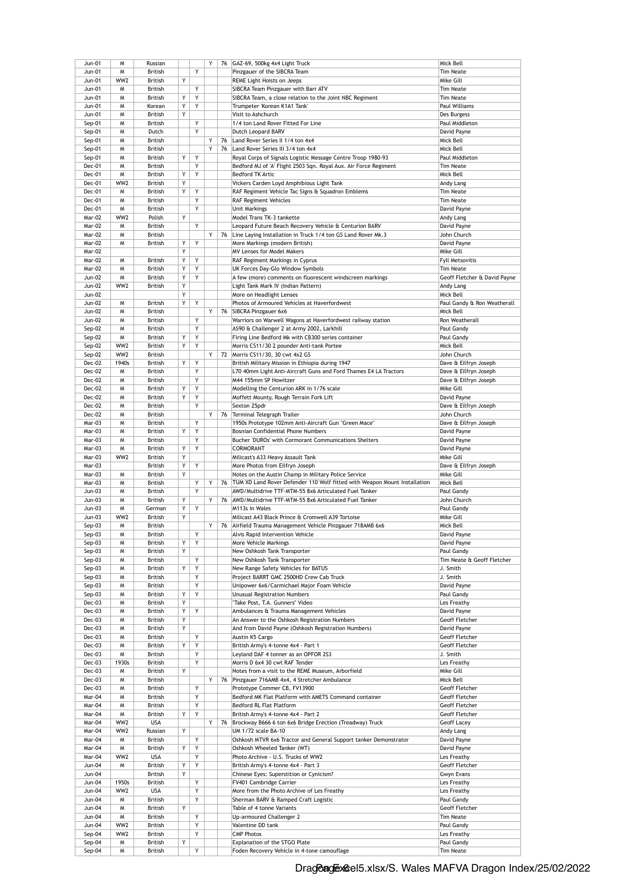| <b>Jun-01</b> | W               | Russian        |   |    | Y | 76 | GAZ-69, 500kg 4x4 Light Truck                                             | Mick Bell                    |
|---------------|-----------------|----------------|---|----|---|----|---------------------------------------------------------------------------|------------------------------|
| $Jun-01$      | M               | <b>British</b> |   | Y. |   |    | Pinzgauer of the SIBCRA Team                                              | <b>Tim Neate</b>             |
| $Jun-01$      | WW <sub>2</sub> | <b>British</b> | Y |    |   |    | REME Light Hoists on Jeeps                                                | Mike Gill                    |
|               |                 |                |   |    |   |    |                                                                           |                              |
| $Jun-01$      | M               | <b>British</b> |   | Y  |   |    | SIBCRA Team Pinzgauer with Barr ATV                                       | <b>Tim Neate</b>             |
| $Jun-01$      | W               | <b>British</b> | Y | Y  |   |    | SIBCRA Team, a close relation to the Joint NBC Regiment                   | <b>Tim Neate</b>             |
| $Jun-01$      | M               | Korean         | Y | Y  |   |    | Trumpeter 'Korean K1A1 Tank'                                              | Paul Williams                |
| $Jun-01$      | W               | <b>British</b> | Y |    |   |    | Visit to Ashchurch                                                        | Des Burgess                  |
| $Sep-01$      | M               | <b>British</b> |   | Y  |   |    | 1/4 ton Land Rover Fitted For Line                                        | Paul Middleton               |
| $Sep-01$      | M               | Dutch          |   | Y  |   |    | <b>Dutch Leopard BARV</b>                                                 | David Payne                  |
| $Sep-01$      | M               | <b>British</b> |   |    | Y | 76 | Land Rover Series II 1/4 ton 4x4                                          | Mick Bell                    |
|               |                 |                |   |    | Y | 76 | Land Rover Series III 3/4 ton 4x4                                         | Mick Bell                    |
| $Sep-01$      | M               | <b>British</b> |   |    |   |    |                                                                           |                              |
| $Sep-01$      | M               | <b>British</b> | Y | Y  |   |    | Royal Corps of Signals Logistic Message Centre Troop 1980-93              | Paul Middleton               |
| Dec-01        | M               | <b>British</b> |   | Y  |   |    | Bedford MJ of 'A' Flight 2503 Sqn. Royal Aux. Air Force Regiment          | <b>Tim Neate</b>             |
| Dec-01        | M               | <b>British</b> | Y | Y  |   |    | <b>Bedford TK Artic</b>                                                   | Mick Bell                    |
| Dec-01        | WW <sub>2</sub> | <b>British</b> | Y |    |   |    | Vickers Carden Loyd Amphibious Light Tank                                 | Andy Lang                    |
| Dec-01        | M               | <b>British</b> | Y | Y  |   |    | RAF Regiment Vehicle Tac Signs & Squadron Emblems                         | <b>Tim Neate</b>             |
| Dec-01        | M               | <b>British</b> |   | Y  |   |    | RAF Regiment Vehicles                                                     | <b>Tim Neate</b>             |
| Dec-01        | M               | <b>British</b> |   | Y  |   |    | <b>Unit Markings</b>                                                      | David Payne                  |
|               | WW <sub>2</sub> | Polish         | Y |    |   |    | Model Trans TK-3 tankette                                                 |                              |
| <b>Mar-02</b> |                 |                |   |    |   |    |                                                                           | Andy Lang                    |
| <b>Mar-02</b> | M               | <b>British</b> |   | Y  |   |    | Leopard Future Beach Recovery Vehicle & Centurion BARV                    | David Payne                  |
| Mar-02        | M               | <b>British</b> |   |    | Y | 76 | Line Laying Installation in Truck 1/4 ton GS Land Rover Mk.3              | John Church                  |
| <b>Mar-02</b> | M               | <b>British</b> | Y | Y  |   |    | More Markings (modern British)                                            | David Payne                  |
| <b>Mar-02</b> |                 |                | Y |    |   |    | <b>MV Lenses for Model Makers</b>                                         | Mike Gill                    |
| Mar-02        | W               | <b>British</b> | Y | Y  |   |    | RAF Regiment Markings in Cyprus                                           | <b>Fyll Metsovitis</b>       |
| Mar-02        | W               | British        | Y | Y  |   |    | UK Forces Day-Glo Window Symbols                                          | <b>Tim Neate</b>             |
| $Jun-02$      | W               | <b>British</b> | Y | Y  |   |    | A few (more) comments on fluorescent windscreen markings                  | Geoff Fletcher & David Payne |
| $Jun-02$      | WW <sub>2</sub> | <b>British</b> | Y |    |   |    |                                                                           |                              |
|               |                 |                |   |    |   |    | Light Tank Mark IV (Indian Pattern)                                       | Andy Lang                    |
| $Jun-02$      |                 |                | Y |    |   |    | More on Headlight Lenses                                                  | Mick Bell                    |
| $Jun-02$      | M               | British        | Y | Y  |   |    | Photos of Armoured Vehicles at Haverfordwest                              | Paul Gandy & Ron Weatherall  |
| $Jun-02$      | W               | <b>British</b> |   |    | Y | 76 | SIBCRA Pinzgauer 6x6                                                      | Mick Bell                    |
| $Jun-02$      | M               | <b>British</b> |   | Y  |   |    | Warriors on Warwell Wagons at Haverfordwest railway station               | Ron Weatherall               |
| $Sep-02$      | M               | <b>British</b> |   | Y  |   |    | AS90 & Challenger 2 at Army 2002, Larkhill                                | Paul Gandy                   |
| $Sep-02$      | M               | <b>British</b> | Y | Y  |   |    | Firing Line Bedford Mk with CB300 series container                        | Paul Gandy                   |
|               | WW <sub>2</sub> | <b>British</b> | Y | Y. |   |    | Morris CS11/30 2 pounder Anti-tank Portee                                 | Mick Bell                    |
| $Sep-02$      |                 |                |   |    | Y |    |                                                                           |                              |
| $Sep-02$      | WW <sub>2</sub> | <b>British</b> |   |    |   | 72 | Morris CS11/30, 30 cwt 4x2 GS                                             | John Church                  |
| Dec-02        | 1940s           | <b>British</b> | Y | Y  |   |    | British Military Mission in Ethiopia during 1947                          | Dave & Eilfryn Joseph        |
| $Dec-02$      | M               | <b>British</b> |   | Y  |   |    | L70 40mm Light Anti-Aircraft Guns and Ford Thames E4 LA Tractors          | Dave & Eilfryn Joseph        |
| Dec-02        | M               | <b>British</b> |   | Y  |   |    | M44 155mm SP Howitzer                                                     | Dave & Eilfryn Joseph        |
| $Dec-02$      | M               | <b>British</b> | Y | Y  |   |    | Modelling the Centurion ARK in 1/76 scale                                 | Mike Gill                    |
| $Dec-02$      | M               | <b>British</b> | Y | Y  |   |    | Moffett Mounty, Rough Terrain Fork Lift                                   | David Payne                  |
| $Dec-02$      | M               | <b>British</b> |   | Y  |   |    | Sexton 25pdr                                                              | Dave & Eilfryn Joseph        |
| Dec-02        | M               | <b>British</b> |   |    | Y | 76 | Terminal Telegraph Trailer                                                | John Church                  |
|               |                 |                |   |    |   |    |                                                                           |                              |
| $Mar-03$      | W               | <b>British</b> |   | Y  |   |    | 1950s Prototype 102mm Anti-Aircraft Gun "Green Mace"                      | Dave & Eilfryn Joseph        |
| Mar-03        | M               | <b>British</b> | Y | Y  |   |    | <b>Bosnian Confidential Phone Numbers</b>                                 | David Payne                  |
| $Mar-03$      | M               | <b>British</b> |   | Y  |   |    | <b>Bucher 'DUROs' with Cormorant Communications Shelters</b>              | David Payne                  |
| $Mar-03$      | W               | <b>British</b> | Y | Y  |   |    | <b>CORMORANT</b>                                                          | David Payne                  |
| $Mar-03$      | WW <sub>2</sub> | <b>British</b> | Y |    |   |    | Milicast's A33 Heavy Assault Tank                                         | Mike Gill                    |
| Mar-03        |                 | <b>British</b> | Y | Y  |   |    | More Photos from Eilfryn Joseph                                           | Dave & Eilfryn Joseph        |
|               |                 |                |   |    |   |    |                                                                           |                              |
|               |                 |                |   |    |   |    |                                                                           |                              |
| Mar-03        | M               | <b>British</b> | Y |    |   |    | Notes on the Austin Champ in Military Police Service                      | Mike Gill                    |
| $Mar-03$      | M               | <b>British</b> |   | Y. | Y | 76 | TUM XD Land Rover Defender 110 Wolf fitted with Weapon Mount Installation | Mick Bell                    |
| $Jun-03$      | W               | <b>British</b> |   | Y  |   |    | AWD/Multidrive TTF-MTM-55 8x6 Articulated Fuel Tanker                     | Paul Gandy                   |
| $Jun-03$      | W               | <b>British</b> | Y |    | Y | 76 | AWD/Multidrive TTF-MTM-55 8x6 Articulated Fuel Tanker                     | John Church                  |
| $Jun-03$      | M               | German         | Y | Y. |   |    | M113s in Wales                                                            | Paul Gandy                   |
| $Jun-03$      | WW <sub>2</sub> | <b>British</b> | Y |    |   |    | Milicast A43 Black Prince & Cromwell A39 Tortoise                         | Mike Gill                    |
| $Sep-03$      | M               | <b>British</b> |   |    | Y | 76 | Airfield Trauma Management Vehicle Pinzgauer 718AMB 6x6                   | Mick Bell                    |
|               | M               | <b>British</b> |   | Y  |   |    | <b>Alvis Rapid Intervention Vehicle</b>                                   | David Payne                  |
| $Sep-03$      |                 |                | Y |    |   |    |                                                                           |                              |
| $Sep-03$      | M               | <b>British</b> |   | Y. |   |    | More Vehicle Markings                                                     | David Payne                  |
| $Sep-03$      | M               | <b>British</b> | Y |    |   |    | New Oshkosh Tank Transporter                                              | Paul Gandy                   |
| $Sep-03$      | M               | <b>British</b> |   | Y  |   |    | New Oshkosh Tank Transporter                                              | Tim Neate & Geoff Fletcher   |
| $Sep-03$      | M               | <b>British</b> | Y | Y  |   |    | New Range Safety Vehicles for BATUS                                       | J. Smith                     |
| $Sep-03$      | M               | <b>British</b> |   | Y  |   |    | Project BARRT GMC 2500HD Crew Cab Truck                                   | J. Smith                     |
| $Sep-03$      | M               | <b>British</b> |   | Y  |   |    | Unipower 6x6/Carmichael Major Foam Vehicle                                | David Payne                  |
| $Sep-03$      | M               | <b>British</b> | Y | Y  |   |    | <b>Unusual Registration Numbers</b>                                       | Paul Gandy                   |
| $Dec-03$      | M               | <b>British</b> | Y |    |   |    | 'Take Post, T.A. Gunners" Video                                           | Les Freathy                  |
| $Dec-03$      | W               | <b>British</b> | Y | Y  |   |    | Ambulances & Trauma Management Vehicles                                   | David Payne                  |
| $Dec-03$      | W               | <b>British</b> | Y |    |   |    |                                                                           | Geoff Fletcher               |
|               |                 |                |   |    |   |    | An Answer to the Oshkosh Registration Numbers                             |                              |
| $Dec-03$      | M               | <b>British</b> | Y |    |   |    | And from David Payne (Oshkosh Registration Numbers)                       | David Payne                  |
| $Dec-03$      | M               | <b>British</b> |   | Y  |   |    | Austin K5 Cargo                                                           | <b>Geoff Fletcher</b>        |
| $Dec-03$      | M               | <b>British</b> | Y | Y  |   |    | British Army's 4-tonne 4x4 - Part 1                                       | Geoff Fletcher               |
| $Dec-03$      | W               | <b>British</b> |   | Y  |   |    | Leyland DAF 4 tonner as an OPFOR 2S3                                      | J. Smith                     |
| $Dec-03$      | 1930s           | <b>British</b> |   | Y  |   |    | Morris D 6x4 30 cwt RAF Tender                                            | Les Freathy                  |
| $Dec-03$      | M               | <b>British</b> | Y |    |   |    | Notes from a visit to the REME Museum, Arborfield                         | Mike Gill                    |
| $Dec-03$      | M               | <b>British</b> |   |    | Y | 76 | Pinzgauer 716AMB 4x4, 4 Stretcher Ambulance                               | Mick Bell                    |
| $Dec-03$      | W               | <b>British</b> |   | Y  |   |    | Prototype Commer CB, FV13900                                              | Geoff Fletcher               |
| Mar-04        | W               | <b>British</b> |   | Y  |   |    | Bedford MK Flat Platform with AMETS Command container                     | Geoff Fletcher               |
|               |                 |                |   | Y  |   |    |                                                                           |                              |
| Mar-04        | M               | <b>British</b> |   |    |   |    | <b>Bedford RL Flat Platform</b>                                           | <b>Geoff Fletcher</b>        |
| Mar-04        | M               | <b>British</b> | Y | Y. |   |    | British Army's 4-tonne 4x4 - Part 2                                       | Geoff Fletcher               |
| Mar-04        | WW <sub>2</sub> | <b>USA</b>     |   |    | Y | 76 | Brockway B666 6 ton 6x6 Bridge Erection (Treadway) Truck                  | <b>Geoff Lacey</b>           |
| Mar-04        | WW <sub>2</sub> | Russian        | Y |    |   |    | <b>UM 1/72 scale BA-10</b>                                                | Andy Lang                    |
| Mar-04        | M               | <b>British</b> |   | Y. |   |    | Oshkosh MTVR 6x6 Tractor and General Support tanker Demonstrator          | David Payne                  |
| Mar-04        | M               | <b>British</b> | Y | Y  |   |    | Oshkosh Wheeled Tanker (WT)                                               | David Payne                  |
| Mar-04        | WW <sub>2</sub> | <b>USA</b>     |   | Y  |   |    | Photo Archive - U.S. Trucks of WW2                                        | Les Freathy                  |
| $Jun-04$      | M               | <b>British</b> | Y | Y  |   |    | British Army's 4-tonne 4x4 - Part 3                                       | Geoff Fletcher               |
| $Jun-04$      |                 | <b>British</b> | Y |    |   |    | Chinese Eyes: Superstition or Cynicism?                                   | <b>Gwyn Evans</b>            |
| $Jun-04$      | 1950s           | <b>British</b> |   | Y  |   |    |                                                                           |                              |
|               |                 |                |   |    |   |    | FV401 Cambridge Carrier                                                   | Les Freathy                  |
| $Jun-04$      | WW <sub>2</sub> | <b>USA</b>     |   | Y  |   |    | More from the Photo Archive of Les Freathy                                | Les Freathy                  |
| $Jun-04$      | M               | <b>British</b> |   | Y  |   |    | Sherman BARV & Ramped Craft Logistic                                      | Paul Gandy                   |
| $Jun-04$      | M               | <b>British</b> | Y |    |   |    | Table of 4 tonne Variants                                                 | Geoff Fletcher               |
| $Jun-04$      | M               | <b>British</b> |   | Y  |   |    | Up-armoured Challenger 2                                                  | <b>Tim Neate</b>             |
| $Jun-04$      | WW <sub>2</sub> | <b>British</b> |   | Y  |   |    | Valentine DD tank                                                         | Paul Gandy                   |
| $Sep-04$      | WW <sub>2</sub> | <b>British</b> |   | Y  |   |    | <b>CMP Photos</b>                                                         | Les Freathy                  |
| $Sep-04$      | M               | <b>British</b> | Y |    |   |    | Explanation of the STGO Plate                                             | Paul Gandy                   |

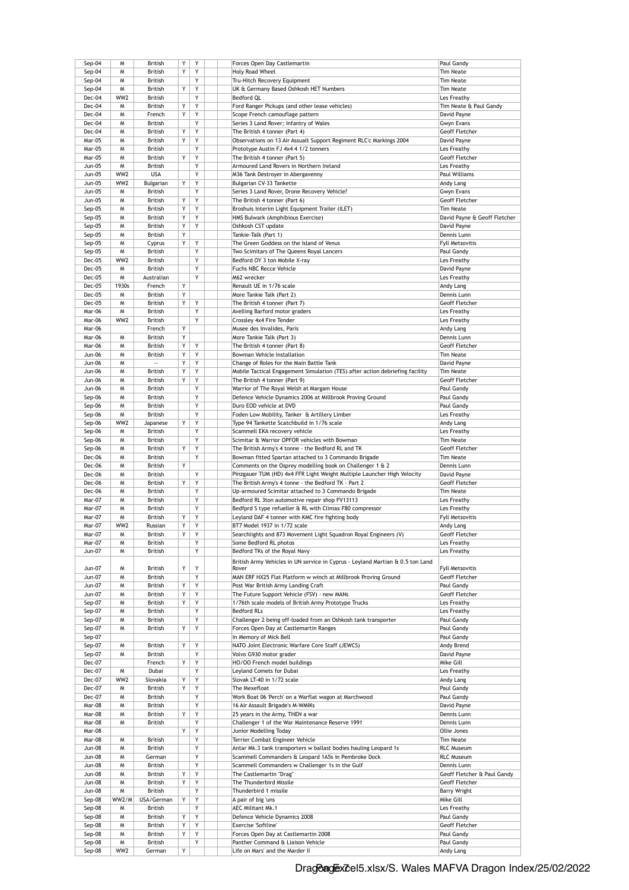| $Sep-04$      | M               | <b>British</b>   | Y | Y | Forces Open Day Castlemartin                                                   | Paul Gandy                   |
|---------------|-----------------|------------------|---|---|--------------------------------------------------------------------------------|------------------------------|
| Sep-04        | M               | <b>British</b>   | Y | Y | Holy Road Wheel                                                                | <b>Tim Neate</b>             |
|               |                 |                  |   | Y |                                                                                | <b>Tim Neate</b>             |
| Sep-04        | M               | <b>British</b>   |   |   | Tru-Hitch Recovery Equipment                                                   |                              |
| Sep-04        | M               | <b>British</b>   | Y | Y | UK & Germany Based Oshkosh HET Numbers                                         | <b>Tim Neate</b>             |
| Dec-04        | WW <sub>2</sub> | <b>British</b>   |   | Y | <b>Bedford QL</b>                                                              | Les Freathy                  |
| Dec-04        | M               | <b>British</b>   | Y | Y | Ford Ranger Pickups (and other lease vehicles)                                 | Tim Neate & Paul Gandy       |
| Dec-04        | M               | French           | Y | Y | Scope French camouflage pattern                                                | David Payne                  |
|               |                 |                  |   |   |                                                                                |                              |
| $Dec-04$      | M               | <b>British</b>   |   | Y | Series 3 Land Rover; Infantry of Wales                                         | <b>Gwyn Evans</b>            |
| Dec-04        | M               | <b>British</b>   | Y | Y | The British 4 tonner (Part 4)                                                  | <b>Geoff Fletcher</b>        |
| Mar-05        | M               | <b>British</b>   | Y | Y | Observations on 13 Air Assualt Support Regiment RLC'c Markings 2004            | David Payne                  |
| Mar-05        | M               | <b>British</b>   |   | Y | Prototype Austin FJ 4x4 4 1/2 tonners                                          | Les Freathy                  |
|               |                 |                  | Y | Y |                                                                                |                              |
| Mar-05        | M               | <b>British</b>   |   |   | The British 4 tonner (Part 5)                                                  | Geoff Fletcher               |
| $Jun-05$      | M               | <b>British</b>   |   | Y | Armoured Land Rovers in Northern Ireland                                       | Les Freathy                  |
| $Jun-05$      | WW <sub>2</sub> | <b>USA</b>       |   | Y | M36 Tank Destroyer in Abergavenny                                              | Paul Williams                |
| $Jun-05$      | WW <sub>2</sub> | <b>Bulgarian</b> | Y | Y | Bulgarian CV-33 Tankette                                                       | Andy Lang                    |
| $Jun-05$      | M               | <b>British</b>   |   | Y | Series 3 Land Rover, Drone Recovery Vehicle?                                   | Gwyn Evans                   |
|               |                 |                  |   |   |                                                                                |                              |
| $Jun-05$      | M               | <b>British</b>   | Y | Y | The British 4 tonner (Part 6)                                                  | <b>Geoff Fletcher</b>        |
| $Sep-05$      | M               | <b>British</b>   | Y | Y | Broshuis Interim Light Equipment Trailer (ILET)                                | <b>Tim Neate</b>             |
| $Sep-05$      | M               | <b>British</b>   | Y | Y | HMS Bulwark (Amphibious Exercise)                                              | David Payne & Geoff Fletcher |
| $Sep-05$      | M               | <b>British</b>   | Y | Y | Oshkosh CST update                                                             | David Payne                  |
|               | M               | <b>British</b>   | Y |   | Tankie-Talk (Part 1)                                                           | Dennis Lunn                  |
| $Sep-05$      |                 |                  |   |   |                                                                                |                              |
| $Sep-05$      | M               | Cyprus           | Y | Y | The Green Goddess on the Island of Venus                                       | <b>Fyll Metsovitis</b>       |
| $Sep-05$      | M               | <b>British</b>   |   | Y | Two Scimitars of The Queens Royal Lancers                                      | Paul Gandy                   |
| $Dec-05$      | WW <sub>2</sub> | <b>British</b>   |   | Y | Bedford OY 3 ton Mobile X-ray                                                  | Les Freathy                  |
| $Dec-05$      | M               | <b>British</b>   |   | Υ | Fuchs NBC Recce Vehicle                                                        | David Payne                  |
|               |                 |                  |   |   |                                                                                |                              |
| $Dec-05$      | M               | Australian       |   | Y | M62 wrecker                                                                    | Les Freathy                  |
| $Dec-05$      | 1930s           | French           | Y |   | Renault UE in 1/76 scale                                                       | Andy Lang                    |
| $Dec-05$      | M               | <b>British</b>   | Y |   | More Tankie Talk (Part 2)                                                      | Dennis Lunn                  |
|               |                 |                  | Y | Y |                                                                                |                              |
| $Dec-05$      | M               | <b>British</b>   |   |   | The British 4 tonner (Part 7)                                                  | <b>Geoff Fletcher</b>        |
| Mar-06        | M               | <b>British</b>   |   | Y | Avelling Barford motor graders                                                 | Les Freathy                  |
| Mar-06        | WW <sub>2</sub> | <b>British</b>   |   | Y | Crossley 4x4 Fire Tender                                                       | Les Freathy                  |
| Mar-06        |                 | French           | Y |   | Musee des Invalides, Paris                                                     | Andy Lang                    |
|               |                 |                  |   |   |                                                                                |                              |
| Mar-06        | M               | <b>British</b>   | Y |   | More Tankie Talk (Part 3)                                                      | Dennis Lunn                  |
| Mar-06        | M               | <b>British</b>   | Y | Y | The British 4 tonner (Part 8)                                                  | <b>Geoff Fletcher</b>        |
| $Jun-06$      | M               | <b>British</b>   | Y | Y | Bowman Vehicle Installation                                                    | <b>Tim Neate</b>             |
| $Jun-06$      | M               |                  | Y | Y | Change of Roles for the Main Battle Tank                                       | David Payne                  |
|               |                 |                  |   |   |                                                                                |                              |
| $Jun-06$      | M               | <b>British</b>   | Y | Y | Mobile Tactical Engagement Simulation (TES) after action debriefing facility   | <b>Tim Neate</b>             |
| $Jun-06$      | M               | <b>British</b>   | Y | Y | The British 4 tonner (Part 9)                                                  | <b>Geoff Fletcher</b>        |
| $Jun-06$      | M               | <b>British</b>   |   | Y | Warrior of The Royal Welsh at Margam House                                     | Paul Gandy                   |
|               |                 |                  |   | Y |                                                                                |                              |
| $Sep-06$      | M               | <b>British</b>   |   |   | Defence Vehicle Dynamics 2006 at Millbrook Proving Ground                      | Paul Gandy                   |
| $Sep-06$      | M               | <b>British</b>   |   | Y | Duro EOD vehicle at DVD                                                        | Paul Gandy                   |
| $Sep-06$      | M               | <b>British</b>   |   | Y | Foden Low Mobility, Tanker & Artillery Limber                                  | Les Freathy                  |
| $Sep-06$      | WW <sub>2</sub> | Japanese         | Y | Y | Type 94 Tankette Scatchbuild in 1/76 scale                                     | Andy Lang                    |
|               |                 |                  |   |   |                                                                                |                              |
| $Sep-06$      | M               | <b>British</b>   |   | Y | Scammell EKA recovery vehicle                                                  | Les Freathy                  |
| $Sep-06$      | M               | <b>British</b>   |   | Y | Scimitar & Warrior OPFOR vehicles with Bowman                                  | <b>Tim Neate</b>             |
| $Sep-06$      | M               | <b>British</b>   | Y | Y | The British Army's 4 tonne - the Bedford RL and TK                             | Geoff Fletcher               |
|               |                 |                  |   | Y |                                                                                |                              |
| Dec-06        | M               | <b>British</b>   |   |   | Bowman fitted Spartan attached to 3 Commando Brigade                           | <b>Tim Neate</b>             |
| $Dec-06$      | M               | <b>British</b>   | Y |   | Comments on the Osprey modelling book on Challenger 1 & 2                      | Dennis Lunn                  |
| $Dec-06$      | M               | <b>British</b>   |   | Y | Pinzgauer TUM (HD) 4x4 FFR Light Weight Multiple Launcher High Velocity        | David Payne                  |
| $Dec-06$      | M               | <b>British</b>   | Y | Y | The British Army's 4 tonne - the Bedford TK - Part 2                           | Geoff Fletcher               |
|               |                 |                  |   |   |                                                                                |                              |
| $Dec-06$      | M               | <b>British</b>   |   | Y | Up-armoured Scimitar attached to 3 Commando Brigade                            | <b>Tim Neate</b>             |
| Mar-07        | M               | <b>British</b>   |   | Y | Bedford RL 3ton automotive repair shop FV13113                                 | Les Freathy                  |
| Mar-07        | M               | <b>British</b>   |   | Y | Bedfprd S type refueller & RL with Climax F80 compressor                       | Les Freathy                  |
| Mar-07        | M               | <b>British</b>   | Y | Y | Leyland DAF 4 tonner with KMC fire fighting body                               | <b>Fyll Metsovitis</b>       |
|               |                 |                  |   |   |                                                                                |                              |
| Mar-07        | WW <sub>2</sub> | Russian          | Y | Y | BT7 Model 1937 in 1/72 scale                                                   | Andy Lang                    |
| Mar-07        | M               | <b>British</b>   | Y | Y | Searchlights and 873 Movement Light Squadron Royal Engineers (V)               | Geoff Fletcher               |
| Mar-07        | M               | <b>British</b>   |   | Y | Some Bedford RL photos                                                         | Les Freathy                  |
|               |                 |                  |   | Y |                                                                                |                              |
| $Jun-07$      | M               | <b>British</b>   |   |   | Bedford TKs of the Royal Navy                                                  | Les Freathy                  |
|               |                 |                  |   |   | British Army Vehicles in UN service in Cyprus - Leyland Martian & 0.5 ton Land |                              |
| Jun-07        | M               | <b>British</b>   | Y | Y | Rover                                                                          | <b>Fyll Metsovitis</b>       |
| Jun-07        | M               | <b>British</b>   |   | Y | MAN ERF HX25 Flat Platform w winch at Millbrook Proving Ground                 | <b>Geoff Fletcher</b>        |
|               |                 |                  |   |   |                                                                                |                              |
| Jun-07        | M               | <b>British</b>   | Y | Y | Post War British Army Landing Craft                                            | Paul Gandy                   |
| $Jun-07$      | M               | <b>British</b>   | Y | Y | The Future Support Vehicle (FSV) - new MANs                                    | Geoff Fletcher               |
| $Sep-07$      | M               | <b>British</b>   | Y | Y | 1/76th scale models of British Army Prototype Trucks                           | Les Freathy                  |
| Sep-07        | M               | <b>British</b>   |   | Y | <b>Bedford RLs</b>                                                             | Les Freathy                  |
|               |                 |                  |   |   |                                                                                |                              |
| Sep-07        | M               | <b>British</b>   |   | Y | Challenger 2 being off-loaded from an Oshkosh tank transporter                 | Paul Gandy                   |
| Sep-07        | M               | <b>British</b>   | Y | Y | Forces Open Day at Castlemartin Ranges                                         | Paul Gandy                   |
| Sep-07        |                 |                  |   |   | In Memory of Mick Bell                                                         | Paul Gandy                   |
| Sep-07        | M               | <b>British</b>   | Y | Y | NATO Joint Electronic Warfare Core Staff (JEWCS)                               | Andy Brend                   |
|               |                 |                  |   |   |                                                                                |                              |
| Sep-07        | M               | <b>British</b>   |   | Y | Volvo G930 motor grader                                                        | David Payne                  |
| Dec-07        |                 | French           | Y | Y | HO/OO French model buildings                                                   | Mike Gill                    |
| <b>Dec-07</b> | M               | Dubai            |   | Y | Leyland Comets for Dubai                                                       | Les Freathy                  |
| <b>Dec-07</b> | WW <sub>2</sub> | Slovakia         | Y | Y | Slovak LT-40 in 1/72 scale                                                     |                              |
|               |                 |                  |   |   |                                                                                | Andy Lang                    |
| <b>Dec-07</b> | M               | <b>British</b>   | Y | Y | The Mexefloat                                                                  | Paul Gandy                   |
| Dec-07        | M               | <b>British</b>   |   | v | Work Boat 06 'Perch' on a Warflat wagon at Marchwood                           | Paul Gandy                   |
| Mar-08        | M               | <b>British</b>   |   | Y | 16 Air Assault Brigade's M-WMIKs                                               | David Payne                  |
|               |                 |                  |   |   |                                                                                |                              |
| Mar-08        | M               | <b>British</b>   | Y | Y | 25 years in the Army, THEN a war                                               | Dennis Lunn                  |
| Mar-08        | M               | <b>British</b>   |   | Y | Challenger 1 of the War Maintenance Reserve 1991                               | Dennis Lunn                  |
| Mar-08        |                 |                  | Y | Y | Junior Modelling Today                                                         | Ollie Jones                  |
| Mar-08        | M               | <b>British</b>   |   | Y | Terrier Combat Engineer Vehicle                                                | Tim Neate                    |
|               |                 |                  |   |   |                                                                                |                              |
| $Jun-08$      | M               | <b>British</b>   |   | Y | Antar Mk.3 tank transporters w ballast bodies hauling Leopard 1s               | <b>RLC Museum</b>            |
|               |                 |                  |   | Y | Scammell Commanders & Leopard 1A5s in Pembroke Dock                            | <b>RLC Museum</b>            |
| <b>Jun-08</b> | M               | German           |   |   | Scammell Commanders w Challenger 1s in the Gulf                                | Dennis Lunn                  |
|               |                 |                  |   | Y |                                                                                |                              |
| $Jun-08$      | M               | <b>British</b>   |   |   |                                                                                |                              |
| <b>Jun-08</b> | M               | <b>British</b>   | Y | Y | The Castlemartin "Drag"                                                        | Geoff Fletcher & Paul Gandy  |
| $Jun-08$      | M               | <b>British</b>   | Y | Y | The Thunderbird Missile                                                        | <b>Geoff Fletcher</b>        |
| <b>Jun-08</b> | M               | <b>British</b>   |   | Y | Thunderbird 1 missile                                                          | <b>Barry Wright</b>          |
|               |                 |                  |   |   |                                                                                |                              |
| $Sep-08$      | WW2/M           | USA/German       | Y | Y | A pair of big 'uns                                                             | Mike Gill                    |
| $Sep-08$      | M               | <b>British</b>   |   | Y | <b>AEC Militant Mk.1</b>                                                       | Les Freathy                  |
| Sep-08        | M               | <b>British</b>   | Y | Y | Defence Vehicle Dynamics 2008                                                  | Paul Gandy                   |
|               |                 |                  |   | Y |                                                                                |                              |
| $Sep-08$      | M               | <b>British</b>   | Y |   | Exercise 'Softline'                                                            | Geoff Fletcher               |
| Sep-08        | M               | <b>British</b>   | Y | Y | Forces Open Day at Castlemartin 2008                                           | Paul Gandy                   |
| Sep-08        | M               | <b>British</b>   |   | Y | Panther Command & Liaison Vehicle                                              | Paul Gandy                   |

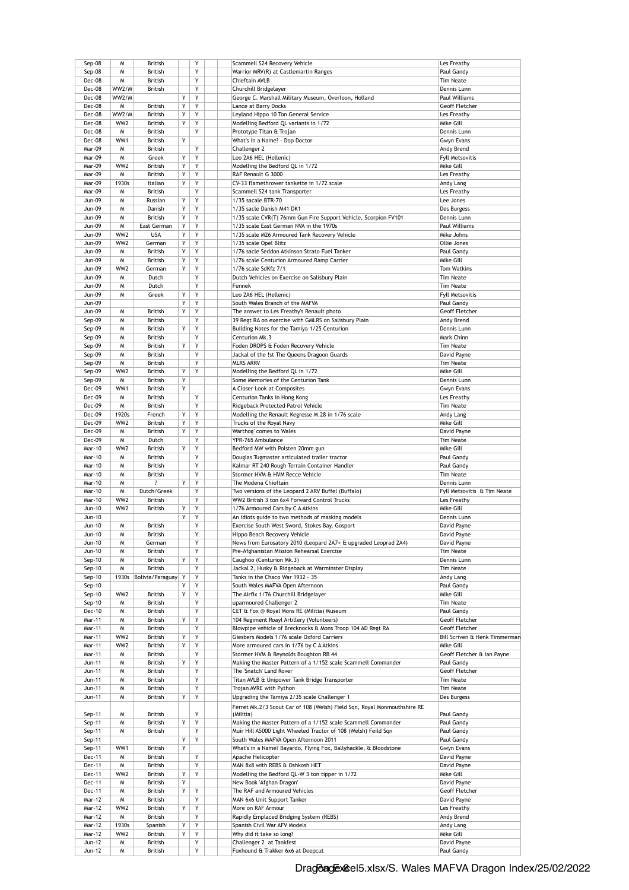| $Sep-08$      | M               | <b>British</b>   |   | Y  | Scammell S24 Recovery Vehicle                                            | Les Freathy                   |
|---------------|-----------------|------------------|---|----|--------------------------------------------------------------------------|-------------------------------|
| $Sep-08$      | M               | <b>British</b>   |   | Y  | Warrior MRV(R) at Castlemartin Ranges                                    | Paul Gandy                    |
|               |                 |                  |   | Y  |                                                                          |                               |
| Dec-08        | M               | <b>British</b>   |   |    | <b>Chieftain AVLB</b>                                                    | Tim Neate                     |
| Dec-08        | WW2/M           | <b>British</b>   |   | Y  | Churchill Bridgelayer                                                    | Dennis Lunn                   |
| Dec-08        | WW2/M           |                  | Y | Y  | George C. Marshall Military Museum, Overloon, Holland                    | <b>Paul Williams</b>          |
| Dec-08        | M               | <b>British</b>   | Y | Y  | Lance at Barry Docks                                                     | <b>Geoff Fletcher</b>         |
| Dec-08        | WW2/M           | <b>British</b>   | Y | Y  | Leyland Hippo 10 Ton General Service                                     | Les Freathy                   |
| Dec-08        | WW <sub>2</sub> | <b>British</b>   | Y | Y  |                                                                          | Mike Gill                     |
|               |                 |                  |   |    | Modelling Bedford QL variants in 1/72                                    |                               |
| Dec-08        | M               | <b>British</b>   |   | Y  | Prototype Titan & Trojan                                                 | Dennis Lunn                   |
| Dec-08        | WW1             | <b>British</b>   | Y |    | What's in a Name? - Dop Doctor                                           | Gwyn Evans                    |
| Mar-09        | M               | <b>British</b>   |   | Y  | Challenger 2                                                             | Andy Brend                    |
| Mar-09        | M               | Greek            | Y | Y  | Leo 2A6 HEL (Hellenic)                                                   | <b>Fyll Metsovitis</b>        |
|               |                 |                  | Y | Y  |                                                                          |                               |
| Mar-09        | WW <sub>2</sub> | <b>British</b>   |   |    | Modelling the Bedford QL in 1/72                                         | Mike Gill                     |
| Mar-09        | M               | <b>British</b>   | Y | Y  | RAF Renault G 3000                                                       | Les Freathy                   |
| Mar-09        | 1930s           | Italian          | Y | Y  | CV-33 flamethrower tankette in 1/72 scale                                | Andy Lang                     |
| Mar-09        | M               | <b>British</b>   |   | Y  | Scammell S24 tank Transporter                                            | Les Freathy                   |
| Jun-09        | M               | Russian          | Y | Y  | 1/35 sacale BTR-70                                                       | Lee Jones                     |
|               |                 |                  |   | Y  |                                                                          |                               |
| Jun-09        | M               | Danish           | Y |    | 1/35 sacle Danish M41 DK1                                                | Des Burgess                   |
| Jun-09        | M               | <b>British</b>   | Y | Y  | 1/35 scale CVR(T) 76mm Gun Fire Support Vehicle, Scorpion FV101          | Dennis Lunn                   |
| Jun-09        | M               | East German      | Y | Y  | 1/35 scale East German NVA in the 1970s                                  | <b>Paul Williams</b>          |
| Jun-09        | WW <sub>2</sub> | <b>USA</b>       | Y | Y  | 1/35 scale M26 Armoured Tank Recovery Vehicle                            | Mike Johns                    |
| Jun-09        | WW <sub>2</sub> | German           | Y | Y  | 1/35 scale Opel Blitz                                                    | Ollie Jones                   |
|               |                 |                  |   |    |                                                                          |                               |
| Jun-09        | M               | <b>British</b>   | Y | Y  | 1/76 sacle Seddon Atkinson Strato Fuel Tanker                            | Paul Gandy                    |
| Jun-09        | M               | <b>British</b>   | Y | Y  | 1/76 scale Centurion Armoured Ramp Carrier                               | Mike Gill                     |
| <b>Jun-09</b> | WW <sub>2</sub> | German           | Y | Y  | 1/76 scale SdKfz 7/1                                                     | Tom Watkins                   |
| <b>Jun-09</b> | M               | Dutch            |   | Y  | Dutch Vehicles on Exercise on Salisbury Plain                            | <b>Tim Neate</b>              |
|               |                 |                  |   | Y  |                                                                          |                               |
| Jun-09        | M               | Dutch            |   |    | Fennek                                                                   | <b>Tim Neate</b>              |
| Jun-09        | M               | Greek            | Y | Y  | Leo 2A6 HEL (Hellenic)                                                   | <b>Fyll Metsovitis</b>        |
| Jun-09        |                 |                  | Y | Y  | South Wales Branch of the MAFVA                                          | Paul Gandy                    |
| <b>Jun-09</b> | M               | <b>British</b>   | Y | Y  | The answer to Les Freathy's Renault photo                                | <b>Geoff Fletcher</b>         |
| $Sep-09$      | M               | <b>British</b>   |   | Y  | 39 Regt RA on exercise with GMLRS on Salisbury Plain                     | Andy Brend                    |
|               |                 |                  |   |    |                                                                          |                               |
| $Sep-09$      | M               | <b>British</b>   | Y | Y  | Building Notes for the Tamiya 1/25 Centurion                             | Dennis Lunn                   |
| Sep-09        | M               | <b>British</b>   |   | Y  | Centurion Mk.3                                                           | Mark Chinn                    |
| $Sep-09$      | M               | <b>British</b>   | Y | Y  | Foden DROPS & Foden Recovery Vehicle                                     | <b>Tim Neate</b>              |
| $Sep-09$      | M               | <b>British</b>   |   | Y  | Jackal of the !st The Queens Dragoon Guards                              | David Payne                   |
|               |                 |                  |   | Y  |                                                                          |                               |
| $Sep-09$      | M               | <b>British</b>   |   |    | <b>MLRS ARRV</b>                                                         | <b>Tim Neate</b>              |
| Sep-09        | WW <sub>2</sub> | <b>British</b>   | Y | Y  | Modelling the Bedford QL in 1/72                                         | Mike Gill                     |
| Sep-09        | M               | <b>British</b>   | Y |    | Some Memories of the Centurion Tank                                      | Dennis Lunn                   |
| Dec-09        | WW1             | <b>British</b>   | Y |    | A Closer Look at Composites                                              | Gwyn Evans                    |
| Dec-09        | M               | <b>British</b>   |   | Y  | Centurion Tanks in Hong Kong                                             | Les Freathy                   |
|               |                 |                  |   | Y  |                                                                          |                               |
| $Dec-09$      | M               | <b>British</b>   |   |    | Ridgeback Protected Patrol Vehicle                                       | <b>Tim Neate</b>              |
| $Dec-09$      | 1920s           | French           | Y | Y  | Modelling the Renault Kegresse M.28 in 1/76 scale                        | Andy Lang                     |
| $Dec-09$      | WW <sub>2</sub> | <b>British</b>   | Y | Y  | Trucks of the Royal Navy                                                 | Mike Gill                     |
| $Dec-09$      | M               | <b>British</b>   | Y | Y  | Warthog' comes to Wales                                                  | David Payne                   |
| $Dec-09$      | M               | Dutch            |   | Y  | YPR-765 Ambulance                                                        | <b>Tim Neate</b>              |
|               | WW <sub>2</sub> |                  | Y | Y  | Bedford MW with Polsten 20mm gun                                         | Mike Gill                     |
| Mar-10        |                 | <b>British</b>   |   |    |                                                                          |                               |
| Mar-10        | M               | <b>British</b>   |   | Y  | Douglas Tugmaster articulated trailer tractor                            | Paul Gandy                    |
| Mar-10        | M               | <b>British</b>   |   | Y  | Kalmar RT 240 Rough Terrain Container Handler                            | Paul Gandy                    |
| Mar-10        | M               | <b>British</b>   |   | Y  | Stormer HVM & HVM Recce Vehicle                                          | <b>Tim Neate</b>              |
| Mar-10        | W               |                  | Y | Y  | The Modena Chieftain                                                     | Dennis Lunn                   |
|               |                 |                  |   | Y  | Two versions of the Leopard 2 ARV Buffel (Buffalo)                       |                               |
|               |                 |                  |   |    |                                                                          |                               |
| <b>Mar-10</b> | M               | Dutch/Greek      |   |    |                                                                          | Fyll Metsovitis & Tim Neate   |
| Mar-10        | WW <sub>2</sub> | <b>British</b>   |   | Y  | WW2 British 3 ton 6x4 Forward Control Trucks                             | Les Freathy                   |
| Jun-10        | WW <sub>2</sub> | <b>British</b>   | Y | Y  | 1/76 Armoured Cars by C A Atkins                                         | Mike Gill                     |
| Jun-10        |                 |                  | Y | Y  | An idiots guide to two methods of masking models                         | Dennis Lunn                   |
| $Jun-10$      | M               | <b>British</b>   |   | Y  | Exercise South West Sword, Stokes Bay, Gosport                           |                               |
|               |                 |                  |   |    |                                                                          | David Payne                   |
| Jun-10        | M               | <b>British</b>   |   | Y  | Hippo Beach Recovery Vehicle                                             | David Payne                   |
| Jun-10        | M               | German           |   | Y  | News from Eurosatory 2010 (Leopard 2A7+ & upgraded Leoprad 2A4)          | David Payne                   |
| Jun-10        | M               | <b>British</b>   |   | Y  | Pre-Afghanistan Mission Rehearsal Exercise                               | Tim Neate                     |
| $Sep-10$      | M               | <b>British</b>   | Y | Y  | Caughoo (Centurion Mk.3)                                                 | Dennis Lunn                   |
|               |                 | <b>British</b>   |   | Y  |                                                                          |                               |
| $Sep-10$      | M               |                  |   |    | Jackal 2, Husky & Ridgeback at Warminster Display                        | <b>Tim Neate</b>              |
| $Sep-10$      | 1930s           | Bolivia/Paraguay |   | Y  | Tanks in the Chaco War 1932 - 35                                         | Andy Lang                     |
| $Sep-10$      |                 |                  |   | Y  | South Wales MAFVA Open Afternoon                                         | Paul Gandy                    |
| $Sep-10$      | WW <sub>2</sub> | <b>British</b>   | Y | Y  | The Airfix 1/76 Churchill Bridgelayer                                    | Mike Gill                     |
| $Sep-10$      | M               | <b>British</b>   |   | Y  | uparmoured Challenger 2                                                  | Tim Neate                     |
| <b>Dec-10</b> | M               | <b>British</b>   |   | Y  |                                                                          |                               |
|               |                 |                  |   |    | CET & Fox @ Royal Mons RE (Militia) Museum                               | Paul Gandy                    |
| <b>Mar-11</b> | M               | <b>British</b>   | Y | Y  | 104 Regiment Roayl Artillery (Volunteers)                                | <b>Geoff Fletcher</b>         |
| Mar-11        | M               | <b>British</b>   |   | Y  | Blowpipe vehicle of Brecknocks & Mons Troop 104 AD Regt RA               | <b>Geoff Fletcher</b>         |
| <b>Mar-11</b> | WW <sub>2</sub> | <b>British</b>   | Y | Y  | Giesbers Models 1/76 scale Oxford Carriers                               | Bill Scriven & Henk Timmerman |
| <b>Mar-11</b> | WW <sub>2</sub> | <b>British</b>   | Y | Y  | More armoured cars in 1/76 by C A Atkins                                 | Mike Gill                     |
| <b>Mar-11</b> | M               | <b>British</b>   |   | Y  |                                                                          |                               |
|               |                 |                  |   |    | Stormer HVM & Reynolds Boughton RB 44                                    | Geoff Fletcher & Ian Payne    |
| $Jun-11$      | M               | <b>British</b>   | Y | Y  | Making the Master Pattern of a 1/152 scale Scammell Commander            | Paul Gandy                    |
| $Jun-11$      | M               | <b>British</b>   |   | Y  | The 'Snatch' Land Rover                                                  | <b>Geoff Fletcher</b>         |
| $Jun-11$      | M               | <b>British</b>   |   | Y  | Titan AVLB & Unipower Tank Bridge Transporter                            | <b>Tim Neate</b>              |
| $Jun-11$      | M               | <b>British</b>   |   | Y  | Trojan AVRE with Python                                                  | Tim Neate                     |
| $Jun-11$      | W               | <b>British</b>   | Y | Y. |                                                                          | Des Burgess                   |
|               |                 |                  |   |    | Upgrading the Tamiya 2/35 scale Challenger 1                             |                               |
|               |                 |                  |   |    | Ferret Mk.2/3 Scout Car of 108 (Welsh) Field Sqn, Royal Monmouthshire RE |                               |
| $Sep-11$      | M               | <b>British</b>   |   | Y  | (Militia)                                                                | Paul Gandy                    |
| $Sep-11$      | M               | <b>British</b>   | Y | Y. | Making the Master Pattern of a 1/152 scale Scammell Commander            | Paul Gandy                    |
| $Sep-11$      | M               | <b>British</b>   |   | Y  | Muir Hill A5000 Light Wheeled Tractor of 108 (Welsh) Feild Sqn           | Paul Gandy                    |
|               |                 |                  | Y | Y. | South Wales MAFVA Open Afternoon 2011                                    | Paul Gandy                    |
| $Sep-11$      |                 |                  |   |    |                                                                          |                               |
| $Sep-11$      | WW1             | <b>British</b>   | Y |    | What's in a Name? Bayardo, Flying Fox, Ballyhackle, & Bloodstone         | Gwyn Evans                    |
| Dec-11        | M               | <b>British</b>   |   | Y  | Apache Helicopter                                                        | David Payne                   |
| Dec-11        | M               | <b>British</b>   |   | Y  | MAN 8x8 with REBS & Oshkosh HET                                          | David Payne                   |
| Dec-11        | WW <sub>2</sub> | <b>British</b>   | Y | Y. | Modelling the Bedford QL-W 3 ton tipper in 1/72                          | Mike Gill                     |
|               |                 |                  |   |    |                                                                          |                               |
| Dec-11        | M               | <b>British</b>   | Y |    | New Book 'Afghan Dragon'                                                 | David Payne                   |
| Dec-11        | M               | <b>British</b>   | Y | Y  | The RAF and Armoured Vehicles                                            | Geoff Fletcher                |
| Mar-12        | M               | <b>British</b>   |   | Y  | MAN 6x6 Unit Support Tanker                                              | David Payne                   |
| <b>Mar-12</b> | WW <sub>2</sub> | <b>British</b>   | Y | Y  | More on RAF Armour                                                       | Les Freathy                   |
| Mar-12        | M               | <b>British</b>   |   | Y  | Rapidly Emplaced Bridging System (REBS)                                  |                               |
|               |                 |                  |   |    |                                                                          | Andy Brend                    |
| Mar-12        | 1930s           | Spanish          | Y | Y. | Spanish Civil War AFV Models                                             | Andy Lang                     |
| Mar-12        | WW <sub>2</sub> | <b>British</b>   | Y | Y  | Why did it take so long?                                                 | Mike Gill                     |
| $Jun-12$      | M               | <b>British</b>   |   | Y  | Challenger 2 at Tankfest                                                 | David Payne<br>Paul Gandy     |

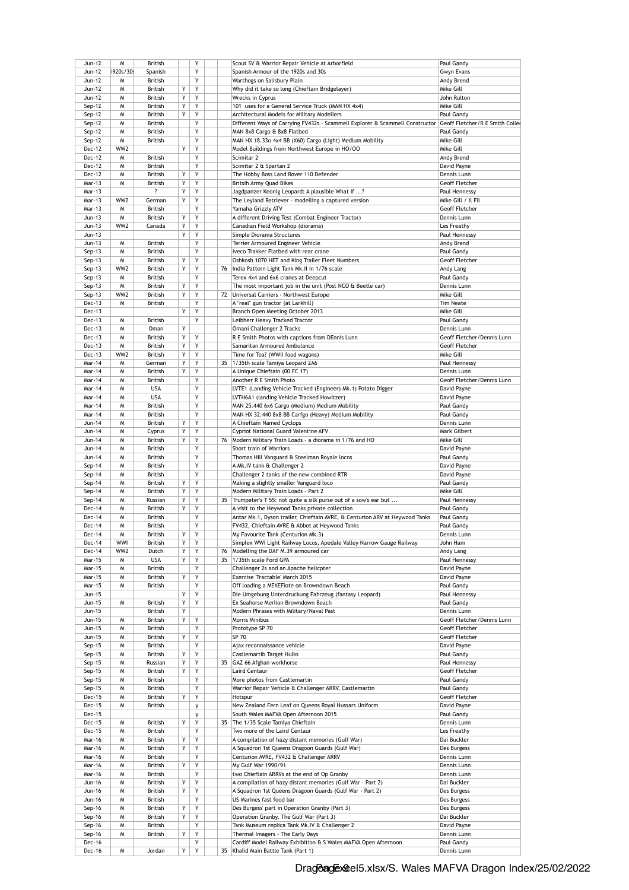| $Jun-12$      | M               | <b>British</b> |   | Y |    | Scout SV & Warrior Repair Vehicle at Arborfield                              | Paul Gandy                      |
|---------------|-----------------|----------------|---|---|----|------------------------------------------------------------------------------|---------------------------------|
| Jun-12        | 1920s/30s       | Spanish        |   | Y |    | Spanish Armour of the 1920s and 30s                                          | <b>Gwyn Evans</b>               |
| $Jun-12$      | M               | <b>British</b> |   | Y |    | Warthogs on Salisbury Plain                                                  | Andy Brend                      |
|               |                 |                |   |   |    |                                                                              |                                 |
| $Jun-12$      | M               | <b>British</b> | Y | Y |    | Why did it take so long (Chieftain Bridgelayer)                              | Mike Gill                       |
| $Jun-12$      | M               | <b>British</b> | Y | Y |    | Wrecks in Cyprus                                                             | John Rulton                     |
| $Sep-12$      | M               | <b>British</b> | Y | Y |    | 101 uses for a General Service Truck (MAN HX 4x4)                            | Mike Gill                       |
| $Sep-12$      | M               | <b>British</b> | Y | Y |    | Architectural Models for Military Modellers                                  | Paul Gandy                      |
|               |                 |                |   | Y |    |                                                                              |                                 |
| $Sep-12$      | M               | <b>British</b> |   |   |    | Different Ways of Carrying FV432s - Scammell Explorer & Scammell Constructor | Geoff Fletcher/R E Smith Colled |
| $Sep-12$      | M               | <b>British</b> |   | Y |    | MAN 8x8 Cargo & 8x8 Flatbed                                                  | Paul Gandy                      |
| Sep-12        | M               | <b>British</b> |   | Y |    | MAN HX 18.33o 4x4 BB (X60) Cargo (Light) Medium Mobility                     | Mike Gill                       |
| Dec-12        | WW <sub>2</sub> |                | Y | Y |    | Model Buildings from Northwest Europe in HO/OO                               | Mike Gill                       |
| Dec-12        | M               | <b>British</b> |   | Y |    | Scimitar 2                                                                   | Andy Brend                      |
|               |                 |                |   |   |    |                                                                              |                                 |
| Dec-12        | M               | <b>British</b> |   | Y |    | Scimitar 2 & Spartan 2                                                       | David Payne                     |
| Dec-12        | M               | <b>British</b> | Y | Y |    | The Hobby Boss Land Rover 110 Defender                                       | Dennis Lunn                     |
| <b>Mar-13</b> | M               | <b>British</b> | Y | Y |    | <b>Britsih Army Quad Bikes</b>                                               | Geoff Fletcher                  |
| <b>Mar-13</b> |                 |                | Y | Y |    | Jagdpanzer Keonig Leopard: A plausible What If ?                             | Paul Hennessy                   |
|               | WW <sub>2</sub> |                | Y | Y |    |                                                                              | Mike Gill / Il Fil              |
| <b>Mar-13</b> |                 | German         |   |   |    | The Leyland Retriever - modelling a captured version                         |                                 |
| <b>Mar-13</b> | M               | <b>British</b> |   | Y |    | Yamaha Grizzly ATV                                                           | Geoff Fletcher                  |
| $Jun-13$      | M               | <b>British</b> | Y | Y |    | A different Driving Test (Combat Engineer Tractor)                           | Dennis Lunn                     |
| $Jun-13$      | WW <sub>2</sub> | Canada         | Y | Y |    | Canadian Field Workshop (diorama)                                            | Les Freathy                     |
| $Jun-13$      |                 |                | Y | Y |    | Simple Diorama Structures                                                    | Paul Hennessy                   |
|               |                 |                |   |   |    |                                                                              |                                 |
| $Jun-13$      | M               | <b>British</b> |   | Y |    | Terrier Armoured Engineer Vehicle                                            | Andy Brend                      |
| $Sep-13$      | M               | <b>British</b> |   | Y |    | Iveco Trakker Flatbed with rear crane                                        | Paul Gandy                      |
| $Sep-13$      | M               | <b>British</b> | Y | Y |    | Oshkosh 1070 HET and King Trailer Fleet Numbers                              | Geoff Fletcher                  |
| $Sep-13$      | WW <sub>2</sub> | <b>British</b> | Y | Y | 76 | India Pattern Light Tank Mk.II in 1/76 scale                                 | Andy Lang                       |
|               |                 |                |   |   |    |                                                                              |                                 |
| $Sep-13$      | M               | <b>British</b> |   | Y |    | Terex 4x4 and 6x6 cranes at Deepcut                                          | Paul Gandy                      |
| $Sep-13$      | M               | <b>British</b> | Y | Y |    | The most important job in the unit (Post NCO & Beetle car)                   | Dennis Lunn                     |
| $Sep-13$      | WW <sub>2</sub> | <b>British</b> | Y | Y | 72 | Universal Carriers - Northwest Europe                                        | Mike Gill                       |
| Dec-13        | M               | <b>British</b> |   | Y |    | A "real" gun tractor (at Larkhill)                                           | <b>Tim Neate</b>                |
| Dec-13        |                 |                | Y | Y |    | Branch Open Meeting October 2013                                             | Mike Gill                       |
|               |                 |                |   |   |    |                                                                              |                                 |
| <b>Dec-13</b> | M               | <b>British</b> |   | Y |    | Leibherr Heavy Tracked Tractor                                               | Paul Gandy                      |
| $Dec-13$      | M               | Oman           | Y |   |    | Omani Challenger 2 Tracks                                                    | Dennis Lunn                     |
| $Dec-13$      | M               | <b>British</b> | Y | Y |    | R E Smith Photos with captions from DEnnis Lunn                              | Geoff Fletcher/Dennis Lunn      |
| Dec-13        | M               | <b>British</b> | Y | Y |    | Samaritan Armoured Ambulance                                                 | Geoff Fletcher                  |
|               |                 |                |   |   |    |                                                                              |                                 |
| $Dec-13$      | WW <sub>2</sub> | <b>British</b> | Y | Y |    | Time for Tea? (WWII food wagons)                                             | Mike Gill                       |
| <b>Mar-14</b> | M               | German         | Y | Y |    | 35   1/35th scale Tamiya Leopard 2A6                                         | Paul Hennessy                   |
| <b>Mar-14</b> | M               | <b>British</b> | Y | Y |    | A Unique Chieftain (00 FC 17)                                                | Dennis Lunn                     |
| <b>Mar-14</b> | M               | <b>British</b> |   | Y |    | Another R E Smith Photo                                                      | Geoff Fletcher/Dennis Lunn      |
| Mar-14        | M               | <b>USA</b>     |   | Y |    | LVTE1 (Landing Vehicle Tracked (Engineer) Mk.1) Potato Digger                | David Payne                     |
|               |                 |                |   |   |    |                                                                              |                                 |
| <b>Mar-14</b> | M               | <b>USA</b>     |   | Y |    | LVTH6A1 (landing Vehicle Tracked Howitzer)                                   | David Payne                     |
| <b>Mar-14</b> | M               | <b>British</b> |   | Y |    | MAN 25.440 6x6 Cargo (Medium) Medium Mobility                                | Paul Gandy                      |
| <b>Mar-14</b> | M               | <b>British</b> |   | Y |    | MAN HX 32.440 8x8 BB Carfgo (Heavy) Medium Mobility                          | Paul Gandy                      |
| <b>Jun-14</b> | M               | <b>British</b> | Y | Y |    | A Chieftain Named Cyclops                                                    | Dennis Lunn                     |
|               |                 |                |   |   |    |                                                                              |                                 |
| <b>Jun-14</b> | M               | Cyprus         | Y | Y |    | <b>Cypriot National Guard Valentine AFV</b>                                  | <b>Mark Gilbert</b>             |
| <b>Jun-14</b> | M               | <b>British</b> | Y | Y |    | 76 Modern Military Train Loads - a diorama in 1/76 and HO                    | Mike Gill                       |
| <b>Jun-14</b> | M               | <b>British</b> |   | Y |    | Short train of Warriors                                                      | David Payne                     |
| $Jun-14$      | M               | <b>British</b> |   | Y |    | Thomas Hill Vanguard & Steelman Royale locos                                 | Paul Gandy                      |
|               |                 |                |   |   |    |                                                                              |                                 |
| $Sep-14$      | M               | <b>British</b> |   | Y |    | A Mk.IV tank & Challenger 2                                                  | David Payne                     |
| Sep-14        | M               | <b>British</b> |   | Y |    | Challenger 2 tanks of the new combined RTR                                   | David Payne                     |
| $Sep-14$      | M               | <b>British</b> | Y | Y |    | Making a slightly smaller Vanguard loco                                      | Paul Gandy                      |
| $Sep-14$      | M               | <b>British</b> | Y | Y |    | Modern Military Train Loads - Part 2                                         | Mike Gill                       |
|               |                 |                | Y |   |    |                                                                              |                                 |
| $Sep-14$      | M               | Russian        |   | Y |    | 35 Trumpeter's T 55: not quite a silk purse out of a sow's ear but           | Paul Hennessy                   |
| Dec-14        | M               | <b>British</b> | Y | Y |    | A visit to the Heywood Tanks private collection                              | Paul Gandy                      |
| <b>Dec-14</b> | M               | <b>British</b> |   | Y |    | Antar Mk.1, Dyson trailer, Chieftain AVRE, & Centurion ARV at Heywood Tanks  | Paul Gandy                      |
| $Dec-14$      | M               | <b>British</b> |   | Y |    | FV432, Chieftain AVRE & Abbot at Heywood Tanks                               | Paul Gandy                      |
| <b>Dec-14</b> | M               | <b>British</b> | Y | Y |    | My Favourite Tank (Centurion Mk.3)                                           | Dennis Lunn                     |
|               |                 |                |   |   |    |                                                                              |                                 |
| Dec-14        | WWI             | <b>British</b> | Y | Y |    | Simplex WWI Light Railway Locos, Apedale Valley Narrow Gauge Railway         | John Ham                        |
| <b>Dec-14</b> | WW <sub>2</sub> | Dutch          | Y | Y | 76 | Modelling the DAF M.39 armoured car                                          | Andy Lang                       |
| <b>Mar-15</b> | M               | <b>USA</b>     | Y | Y |    | 35   1/35th scale Ford GPA                                                   |                                 |
| <b>Mar-15</b> | M               | <b>British</b> |   |   |    |                                                                              | Paul Hennessy                   |
|               |                 |                |   |   |    |                                                                              |                                 |
| <b>Mar-15</b> | M               | <b>British</b> |   | Y |    | Challenger 2s and an Apache helicpter                                        | David Payne                     |
| <b>Mar-15</b> | M               |                | Y | Y |    | Exercise 'Tractable' March 2015                                              | David Payne                     |
| $Jun-15$      |                 | <b>British</b> |   | Y |    | Off loading a MEXEFlote on Browndown Beach                                   | Paul Gandy                      |
|               |                 |                | Y | Y |    | Die Umgebung Unterdruckung Fahrzeug (fantasy Leopard)                        | Paul Hennessy                   |
|               | M               | <b>British</b> | Y | Y |    | Ex Seahorse Merlion Browndown Beach                                          |                                 |
| $Jun-15$      |                 |                |   |   |    |                                                                              | Paul Gandy                      |
| $Jun-15$      |                 | <b>British</b> | Y |   |    | Modern Phrases with Military/Naval Past                                      | Dennis Lunn                     |
| $Jun-15$      | M               | <b>British</b> | Y | Y |    | Morris Minibus                                                               | Geoff Fletcher/Dennis Lunn      |
| $Jun-15$      | M               | <b>British</b> |   | Y |    | Prototype SP 70                                                              | Geoff Fletcher                  |
| $Jun-15$      | M               | <b>British</b> | Y | Y |    | <b>SP 70</b>                                                                 | Geoff Fletcher                  |
|               |                 |                |   |   |    |                                                                              |                                 |
| $Sep-15$      | M               | <b>British</b> |   | Y |    | Ajax reconnaissance vehicle                                                  | David Payne                     |
| $Sep-15$      | M               | <b>British</b> | Y | Y |    | <b>Castlemartib Target Hulks</b>                                             | Paul Gandy                      |
| $Sep-15$      | M               | Russian        | Y | Y |    | 35 GAZ 66 Afghan workhorse                                                   | Paul Hennessy                   |
| $Sep-15$      | M               | <b>British</b> | Y | Y |    | Laird Centaur                                                                | Geoff Fletcher                  |
|               |                 |                |   | Y |    |                                                                              |                                 |
| $Sep-15$      | M               | <b>British</b> |   |   |    | More photos from Castlemartin                                                | Paul Gandy                      |
| $Sep-15$      | M               | <b>British</b> |   | Y |    | Warrior Repair Vehicle & Challenger ARRV, Castlemartin                       | Paul Gandy                      |
| <b>Dec-15</b> | M               | <b>British</b> | Y | Y |    | Hotspur                                                                      | Geoff Fletcher                  |
| Dec-15        | M               | <b>British</b> |   | У |    | New Zealand Fern Leaf on Queens Royal Hussars Uniform                        | David Payne                     |
|               |                 |                |   |   |    |                                                                              |                                 |
| Dec-15        |                 |                |   | y |    | South Wales MAFVA Open Afternoon 2015                                        | Paul Gandy                      |
| <b>Dec-15</b> | M               | <b>British</b> | Y | Y | 35 | The 1/35 Scale Tamiya Chieftain                                              | Dennis Lunn                     |
| <b>Dec-15</b> | M               | <b>British</b> |   | Y |    | Two more of the Laird Centaur                                                | Les Freathy                     |
| Mar-16        | M               | <b>British</b> | Y | Y |    | A compilation of hazy distant memories (Gulf War)                            | Dai Buckler                     |
|               |                 |                |   |   |    |                                                                              |                                 |
| Mar-16        | M               | <b>British</b> | Y | Y |    | A Squadron 1st Queens Dragoon Guards (Gulf War)                              | Des Burgess                     |
| Mar-16        | M               | <b>British</b> |   | Y |    | Centurion AVRE, FV432 & Challenger ARRV                                      | Dennis Lunn                     |
| Mar-16        | M               | <b>British</b> | Y | Y |    | My Gulf War 1990/91                                                          | Dennis Lunn                     |
| Mar-16        | M               | <b>British</b> |   | Y |    | two Chieftain ARRVs at the end of Op Granby                                  | Dennis Lunn                     |
|               |                 |                |   |   |    |                                                                              |                                 |
| $Jun-16$      | M               | <b>British</b> | Y | Y |    | A compilation of hazy distant memories (Gulf War - Part 2)                   | Dai Buckler                     |
| $Jun-16$      | M               | <b>British</b> | Y | Y |    | A Squadron 1st Queens Dragoon Guards (Gulf War - Part 2)                     | Des Burgess                     |
| $Jun-16$      | M               | <b>British</b> |   | Y |    | US Marines fast food bar                                                     | Des Burgess                     |
|               | M               | <b>British</b> | Y | Y |    | Des Burgess' part in Operation Granby (Part 3)                               | Des Burgess                     |
| $Sep-16$      |                 |                |   |   |    |                                                                              |                                 |
| $Sep-16$      | M               | <b>British</b> | Y | Y |    | Operation Granby, The Gulf War (Part 3)                                      | Dai Buckler                     |
| $Sep-16$      | M               | <b>British</b> |   | Y |    | Tank Museum replica Tank Mk.IV & Challenger 2                                | David Payne                     |
| $Sep-16$      | M               | <b>British</b> | Y | Y |    | Thermal Imagers - The Early Days                                             | Dennis Lunn                     |
| <b>Dec-16</b> |                 |                |   | Y |    | Cardiff Model Railway Exhibition & S Wales MAFVA Open Afternoon              | Paul Gandy                      |
| Dec-16        | M               | Jordan         | Y | Y | 35 | Khalid Main Battle Tank (Part 1)                                             | Dennis Lunn                     |

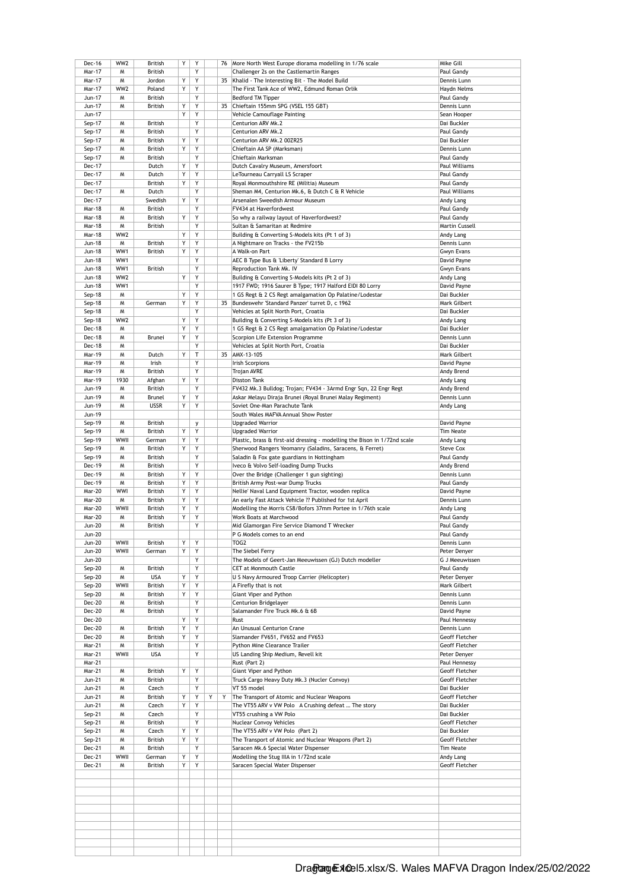| Dec-16        | WW <sub>2</sub> | <b>British</b> | Y | Y |   | 76              | More North West Europe diorama modelling in 1/76 scale                    | Mike Gill             |
|---------------|-----------------|----------------|---|---|---|-----------------|---------------------------------------------------------------------------|-----------------------|
| Mar-17        | M               | <b>British</b> |   | Y |   |                 | Challenger 2s on the Castlemartin Ranges                                  | Paul Gandy            |
| <b>Mar-17</b> | M               | Jordon         | Y | Y |   | 35 <sub>2</sub> | Khalid - The Interesting Bit - The Model Build                            | Dennis Lunn           |
|               |                 |                |   |   |   |                 |                                                                           |                       |
| Mar-17        | WW <sub>2</sub> | Poland         | Y | Y |   |                 | The First Tank Ace of WW2, Edmund Roman Orlik                             | Haydn Nelms           |
| Jun-17        | M               | <b>British</b> |   | Y |   |                 | <b>Bedford TM Tipper</b>                                                  | Paul Gandy            |
| Jun-17        | M               | <b>British</b> | Y | Y |   | 35              | Chieftain 155mm SPG (VSEL 155 GBT)                                        | Dennis Lunn           |
| Jun-17        |                 |                | Y | Y |   |                 | Vehicle Camouflage Painting                                               | Sean Hooper           |
| Sep-17        | M               | <b>British</b> |   | Y |   |                 | <b>Centurion ARV Mk.2</b>                                                 | Dai Buckler           |
|               |                 |                |   | Y |   |                 |                                                                           |                       |
| Sep-17        | M               | <b>British</b> |   |   |   |                 | <b>Centurion ARV Mk.2</b>                                                 | Paul Gandy            |
| Sep-17        | M               | <b>British</b> | Y | Y |   |                 | Centurion ARV Mk.2 00ZR25                                                 | Dai Buckler           |
| Sep-17        | M               | <b>British</b> | Y | Y |   |                 | Chieftain AA SP (Marksman)                                                | Dennis Lunn           |
| Sep-17        | M               | <b>British</b> |   | Y |   |                 | Chieftain Marksman                                                        | Paul Gandy            |
| Dec-17        |                 | Dutch          | Y | Y |   |                 | Dutch Cavalry Museum, Amersfoort                                          | <b>Paul Williams</b>  |
|               | M               |                | Y | Y |   |                 |                                                                           |                       |
| Dec-17        |                 | Dutch          |   |   |   |                 | LeTourneau Carryall LS Scraper                                            | Paul Gandy            |
| Dec-17        |                 | <b>British</b> | Y | Y |   |                 | Royal Monmouthshire RE (Militia) Museum                                   | Paul Gandy            |
| Dec-17        | M               | Dutch          |   | Y |   |                 | Sheman M4, Centurion Mk.6, & Dutch C & R Vehicle                          | <b>Paul Williams</b>  |
| Dec-17        |                 | Swedish        | Y | Y |   |                 | Arsenalen Sweedish Armour Museum                                          | Andy Lang             |
| <b>Mar-18</b> | M               | <b>British</b> |   | Y |   |                 | <b>FV434 at Haverfordwest</b>                                             | Paul Gandy            |
| <b>Mar-18</b> | M               | <b>British</b> | Y | Y |   |                 | So why a railway layout of Haverfordwest?                                 | Paul Gandy            |
|               |                 |                |   |   |   |                 |                                                                           |                       |
| Mar-18        | M               | <b>British</b> |   | Y |   |                 | Sultan & Samaritan at Redmire                                             | <b>Martin Cussell</b> |
| <b>Mar-18</b> | WW <sub>2</sub> |                | Y | Y |   |                 | Building & Converting S-Models kits (Pt 1 of 3)                           | Andy Lang             |
| <b>Jun-18</b> | M               | <b>British</b> | Y | Y |   |                 | A Nightmare on Tracks - the FV215b                                        | Dennis Lunn           |
| $Jun-18$      | WW1             | <b>British</b> | Y | Y |   |                 | A Walk-on Part                                                            | Gwyn Evans            |
| $Jun-18$      | WW1             |                |   | Y |   |                 | AEC B Type Bus & 'Liberty' Standard B Lorry                               | David Payne           |
|               |                 |                |   |   |   |                 |                                                                           |                       |
| <b>Jun-18</b> | WW1             | <b>British</b> |   | Y |   |                 | Reproduction Tank Mk. IV                                                  | Gwyn Evans            |
| <b>Jun-18</b> | WW <sub>2</sub> |                | Y | Y |   |                 | Building & Converting S-Models kits (Pt 2 of 3)                           | Andy Lang             |
| <b>Jun-18</b> | WW1             |                |   | Y |   |                 | 1917 FWD; 1916 Saurer B Type; 1917 Halford EIDI 80 Lorry                  | David Payne           |
| $Sep-18$      | M               |                | Y | Y |   |                 | 1 GS Regt & 2 CS Regt amalgamation Op Palatine/Lodestar                   | Dai Buckler           |
| $Sep-18$      | M               | German         | Y | Y |   | 35              | Bundeswehr 'Standard Panzer' turret D, c 1962                             | Mark Gilbert          |
|               |                 |                |   | Y |   |                 |                                                                           |                       |
| $Sep-18$      | M               |                |   |   |   |                 | Vehicles at Split North Port, Croatia                                     | Dai Buckler           |
| $Sep-18$      | WW <sub>2</sub> |                | Y | Y |   |                 | Building & Converting S-Models kits (Pt 3 of 3)                           | Andy Lang             |
| <b>Dec-18</b> | M               |                | Y | Y |   |                 | 1 GS Regt & 2 CS Regt amalgamation Op Palatine/Lodestar                   | Dai Buckler           |
| <b>Dec-18</b> | M               | <b>Brunei</b>  | Y | Y |   |                 | Scorpion Life Extension Programme                                         | Dennis Lunn           |
| <b>Dec-18</b> | M               |                |   | Y |   |                 | Vehicles at Split North Port, Croatia                                     | Dai Buckler           |
|               |                 |                |   |   |   |                 |                                                                           |                       |
| Mar-19        | M               | Dutch          | Y |   |   | 35              | AMX-13-105                                                                | Mark Gilbert          |
| Mar-19        | M               | Irish          |   | Y |   |                 | <b>Irish Scorpions</b>                                                    | David Payne           |
| Mar-19        | M               | <b>British</b> |   | Y |   |                 | <b>Trojan AVRE</b>                                                        | Andy Brend            |
| <b>Mar-19</b> | 1930            | Afghan         | Y | Y |   |                 | <b>Disston Tank</b>                                                       | Andy Lang             |
|               |                 |                |   | Y |   |                 |                                                                           |                       |
| Jun-19        | M               | <b>British</b> |   |   |   |                 | FV432 Mk.3 Bulldog; Trojan; FV434 - 3Armd Engr Sqn, 22 Engr Regt          | Andy Brend            |
| Jun-19        | M               | <b>Brunel</b>  | Y | Y |   |                 | Askar Melayu Diraja Brunei (Royal Brunei Malay Regiment)                  | Dennis Lunn           |
| Jun-19        | M               | <b>USSR</b>    | Y | Y |   |                 | Soviet One-Man Parachute Tank                                             | Andy Lang             |
| Jun-19        |                 |                |   |   |   |                 | South Wales MAFVA Annual Show Poster                                      |                       |
| $Sep-19$      | M               | <b>British</b> |   | y |   |                 | <b>Upgraded Warrior</b>                                                   | David Payne           |
|               |                 |                |   |   |   |                 |                                                                           |                       |
| $Sep-19$      | M               | <b>British</b> | Y | Y |   |                 | <b>Upgraded Warrior</b>                                                   | <b>Tim Neate</b>      |
| Sep-19        | WWII            | German         | Y | Y |   |                 | Plastic, brass & first-aid dressing - modelling the Bison in 1/72nd scale | Andy Lang             |
| $Sep-19$      | M               | <b>British</b> | Y | Y |   |                 | Sherwood Rangers Yeomanry (Saladins, Saracens, & Ferret)                  | <b>Steve Cox</b>      |
|               |                 |                |   |   |   |                 |                                                                           | Paul Gandy            |
|               |                 |                |   |   |   |                 |                                                                           |                       |
| Sep-19        | M               | <b>British</b> |   | Y |   |                 | Saladin & Fox gate guardians in Nottingham                                |                       |
| Dec-19        | M               | <b>British</b> |   | Y |   |                 | Iveco & Volvo Self-loading Dump Trucks                                    | Andy Brend            |
| Dec-19        | M               | <b>British</b> | Y | Y |   |                 | Over the Bridge (Challenger 1 gun sighting)                               | Dennis Lunn           |
| Dec-19        | M               | <b>British</b> | Y | Y |   |                 | British Army Post-war Dump Trucks                                         | Paul Gandy            |
| <b>Mar-20</b> | <b>WWI</b>      | <b>British</b> | Y | Y |   |                 |                                                                           | David Payne           |
|               |                 |                |   |   |   |                 | Nellie' Naval Land Equipment Tractor, wooden replica                      |                       |
| <b>Mar-20</b> | M               | <b>British</b> | Y | Y |   |                 | An early Fast Attack Vehicle ?? Published for 1st April                   | Dennis Lunn           |
| <b>Mar-20</b> | <b>WWII</b>     | <b>British</b> | Y | Y |   |                 | Modelling the Morris CS8/Bofors 37mm Portee in 1/76th scale               | Andy Lang             |
| <b>Mar-20</b> | M               | <b>British</b> | Y | Y |   |                 | Work Boats at Marchwood                                                   | Paul Gandy            |
| $Jun-20$      | M               | <b>British</b> |   | Y |   |                 | Mid Glamorgan Fire Service Diamond T Wrecker                              | Paul Gandy            |
| <b>Jun-20</b> |                 |                |   |   |   |                 | P G Models comes to an end                                                | Paul Gandy            |
|               |                 |                |   |   |   |                 |                                                                           |                       |
| <b>Jun-20</b> | <b>WWII</b>     | <b>British</b> | Y | Y |   |                 | TOG <sub>2</sub>                                                          | Dennis Lunn           |
| <b>Jun-20</b> | WWII            | German         | Y | Y |   |                 | The Siebel Ferry                                                          | Peter Denyer          |
| Jun-20        |                 |                |   | Y |   |                 | The Models of Geert-Jan Meeuwissen (GJ) Dutch modeller                    | <b>G J Meeuwissen</b> |
| $Sep-20$      | M               | <b>British</b> |   | Y |   |                 | <b>CET at Monmouth Castle</b>                                             | Paul Gandy            |
|               | M               | <b>USA</b>     | Y | Y |   |                 |                                                                           | Peter Denyer          |
| $Sep-20$      |                 |                |   |   |   |                 | U S Navy Armoured Troop Carrier (Helicopter)                              |                       |
| Sep-20        | WWII            | <b>British</b> | Y | Y |   |                 | A Firefly that is not                                                     | Mark Gilbert          |
| Sep-20        | M               | <b>British</b> | Y | Y |   |                 | Giant Viper and Python                                                    | Dennis Lunn           |
| <b>Dec-20</b> | M               | <b>British</b> |   | Y |   |                 | Centurion Bridgelayer                                                     | Dennis Lunn           |
| <b>Dec-20</b> | M               | <b>British</b> |   | Y |   |                 | Salamander Fire Truck Mk.6 & 6B                                           | David Payne           |
| <b>Dec-20</b> |                 |                | Y | Y |   |                 | Rust                                                                      | Paul Hennessy         |
|               |                 |                | Y | Y |   |                 |                                                                           |                       |
| <b>Dec-20</b> | M               | <b>British</b> |   |   |   |                 | An Unusual Centurion Crane                                                | Dennis Lunn           |
| <b>Dec-20</b> | M               | <b>British</b> | Y | Y |   |                 | Slamander FV651, FV652 and FV653                                          | <b>Geoff Fletcher</b> |
| <b>Mar-21</b> | M               | <b>British</b> |   | Y |   |                 | Python Mine Clearance Trailer                                             | Geoff Fletcher        |
| <b>Mar-21</b> | <b>WWII</b>     | <b>USA</b>     |   | Y |   |                 | US Landing Ship Medium, Revell kit                                        | Peter Denyer          |
| Mar-21        |                 |                |   |   |   |                 | Rust (Part 2)                                                             | Paul Hennessy         |
|               |                 |                |   |   |   |                 |                                                                           |                       |
| <b>Mar-21</b> | M               | <b>British</b> | Y | Y |   |                 | Giant Viper and Python                                                    | Geoff Fletcher        |
| $Jun-21$      | M               | <b>British</b> |   | Y |   |                 | Truck Cargo Heavy Duty Mk.3 (Nucler Convoy)                               | Geoff Fletcher        |
| $Jun-21$      | M               | Czech          |   | Y |   |                 | VT 55 model                                                               | Dai Buckler           |
| $Jun-21$      | M               | <b>British</b> | Y |   | Υ | Y               | The Transport of Atomic and Nuclear Weapons                               | Geoff Fletcher        |
|               |                 |                | Y | Y |   |                 |                                                                           |                       |
| $Jun-21$      | M               | Czech          |   |   |   |                 | The VT55 ARV v VW Polo A Crushing defeat  The story                       | Dai Buckler           |
| $Sep-21$      | M               | Czech          |   | Y |   |                 | VT55 crushing a VW Polo                                                   | Dai Buckler           |
| $Sep-21$      | M               | <b>British</b> |   | Y |   |                 | <b>Nuclear Convoy Vehicles</b>                                            | Geoff Fletcher        |
| $Sep-21$      | M               | Czech          | Y | Y |   |                 | The VT55 ARV v VW Polo (Part 2)                                           | Dai Buckler           |
|               | M               | <b>British</b> | Y | Y |   |                 | The Transport of Atomic and Nuclear Weapons (Part 2)                      | Geoff Fletcher        |
| $Sep-21$      |                 |                |   |   |   |                 |                                                                           |                       |
| Dec-21        | M               | British        |   | Y |   |                 | Saracen Mk.6 Special Water Dispenser                                      | <b>Tim Neate</b>      |
| Dec-21        | WWII            | German         | Y | Y |   |                 | Modelling the Stug IIIA in 1/72nd scale                                   | Andy Lang             |
| <b>Dec-21</b> | M               | <b>British</b> | Y | Y |   |                 | Saracen Special Water Dispenser                                           | Geoff Fletcher        |
|               |                 |                |   |   |   |                 |                                                                           |                       |
|               |                 |                |   |   |   |                 |                                                                           |                       |
|               |                 |                |   |   |   |                 |                                                                           |                       |
|               |                 |                |   |   |   |                 |                                                                           |                       |
|               |                 |                |   |   |   |                 |                                                                           |                       |
|               |                 |                |   |   |   |                 |                                                                           |                       |
|               |                 |                |   |   |   |                 |                                                                           |                       |
|               |                 |                |   |   |   |                 |                                                                           |                       |
|               |                 |                |   |   |   |                 |                                                                           |                       |
|               |                 |                |   |   |   |                 |                                                                           |                       |
|               |                 |                |   |   |   |                 |                                                                           |                       |

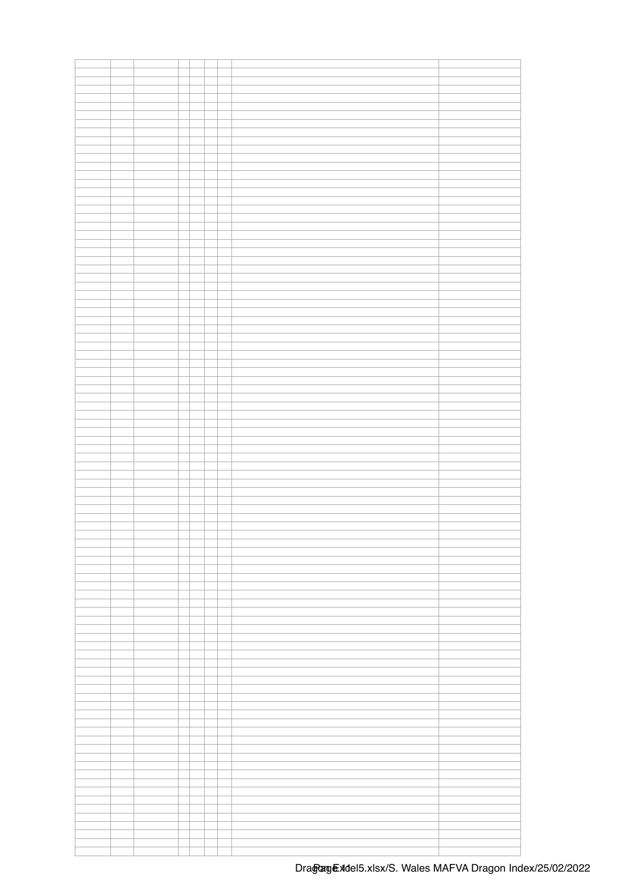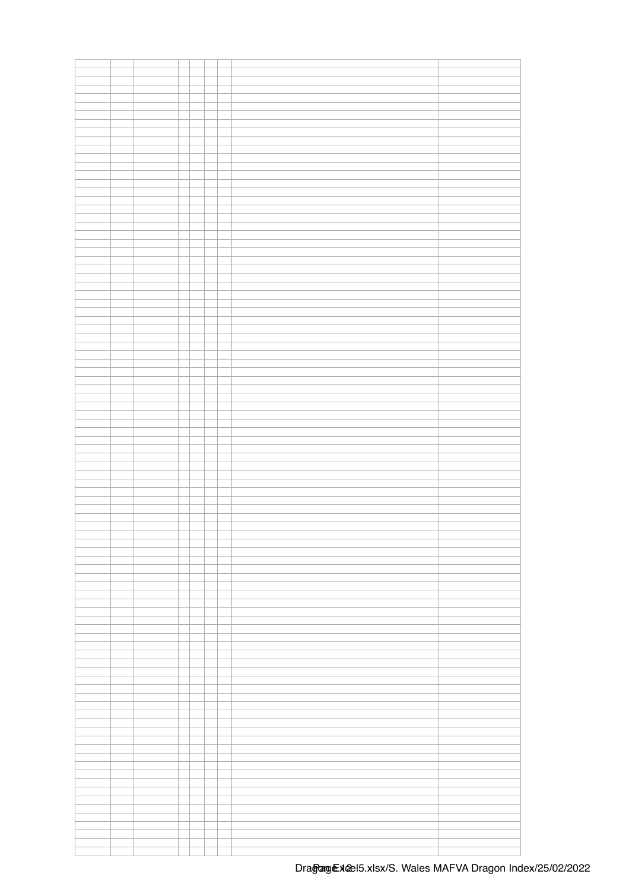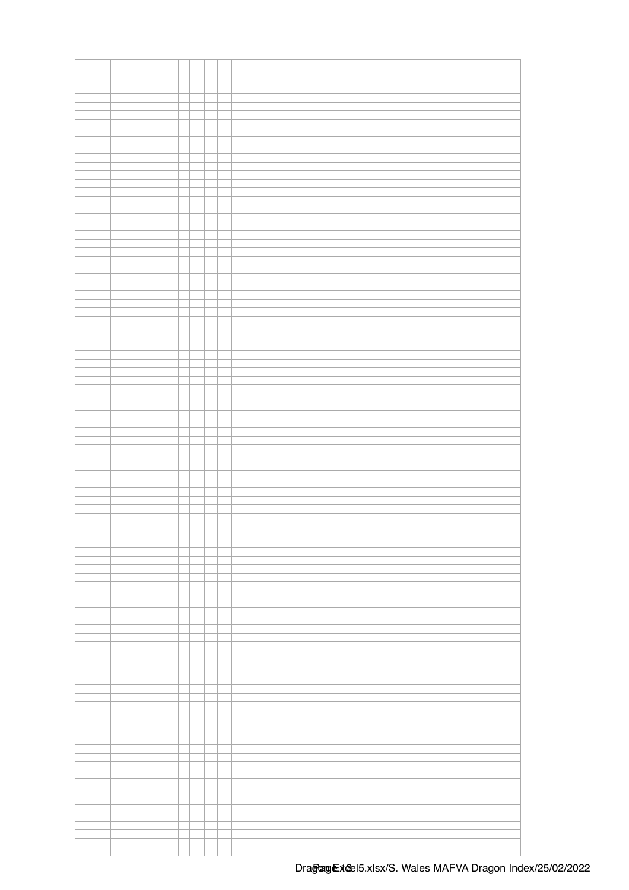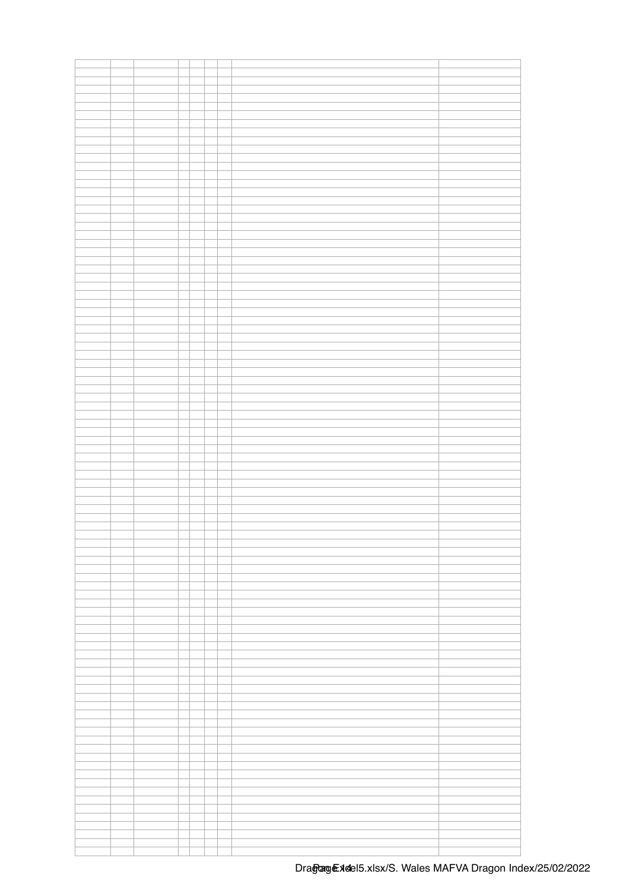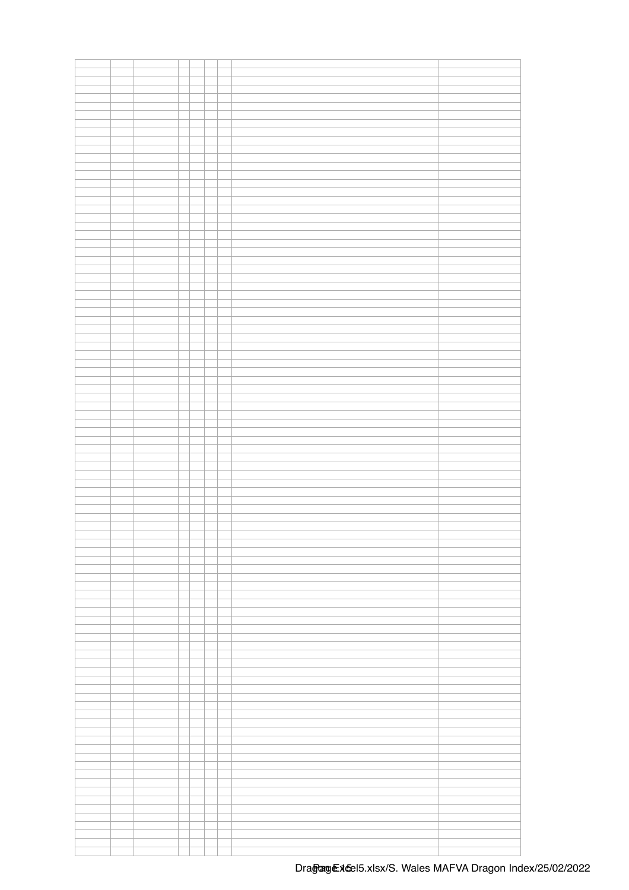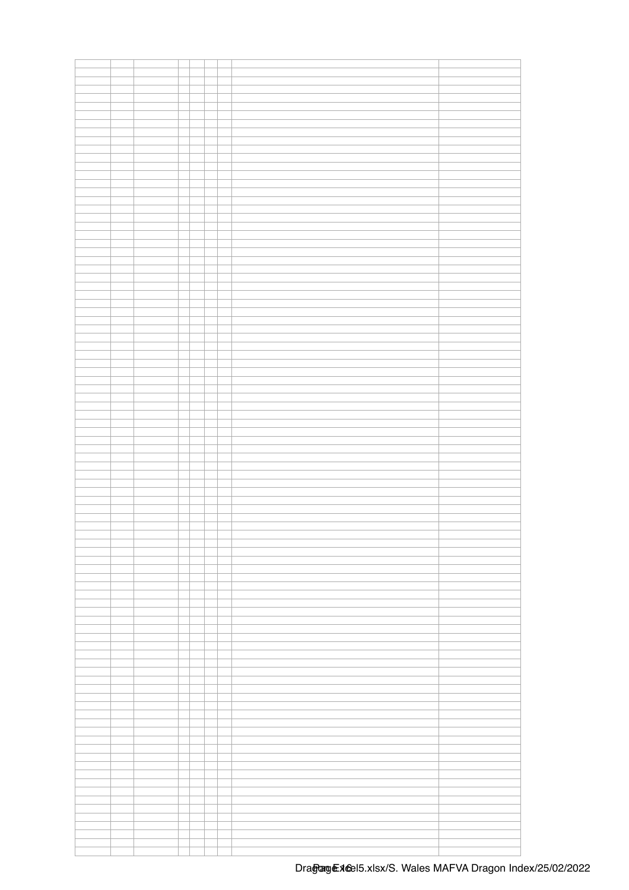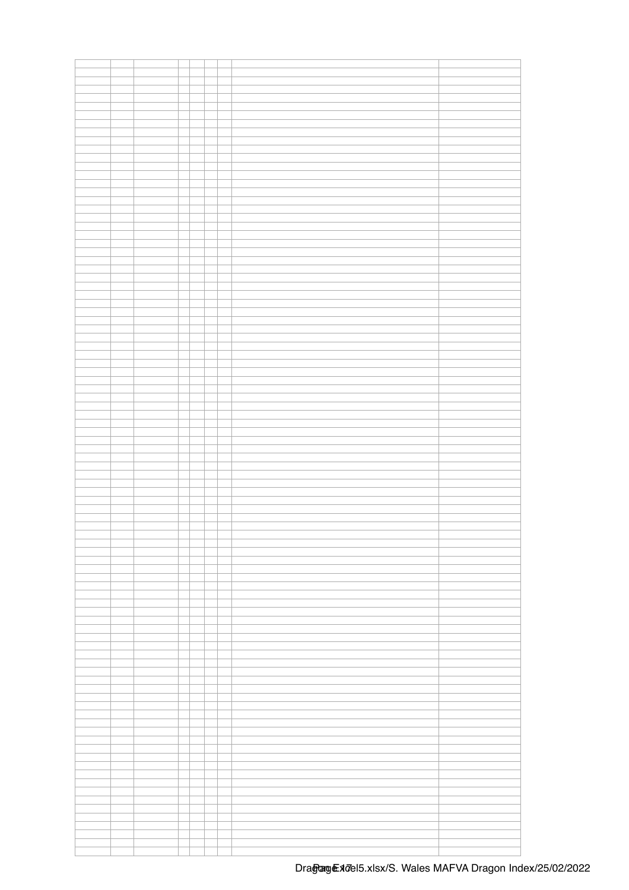